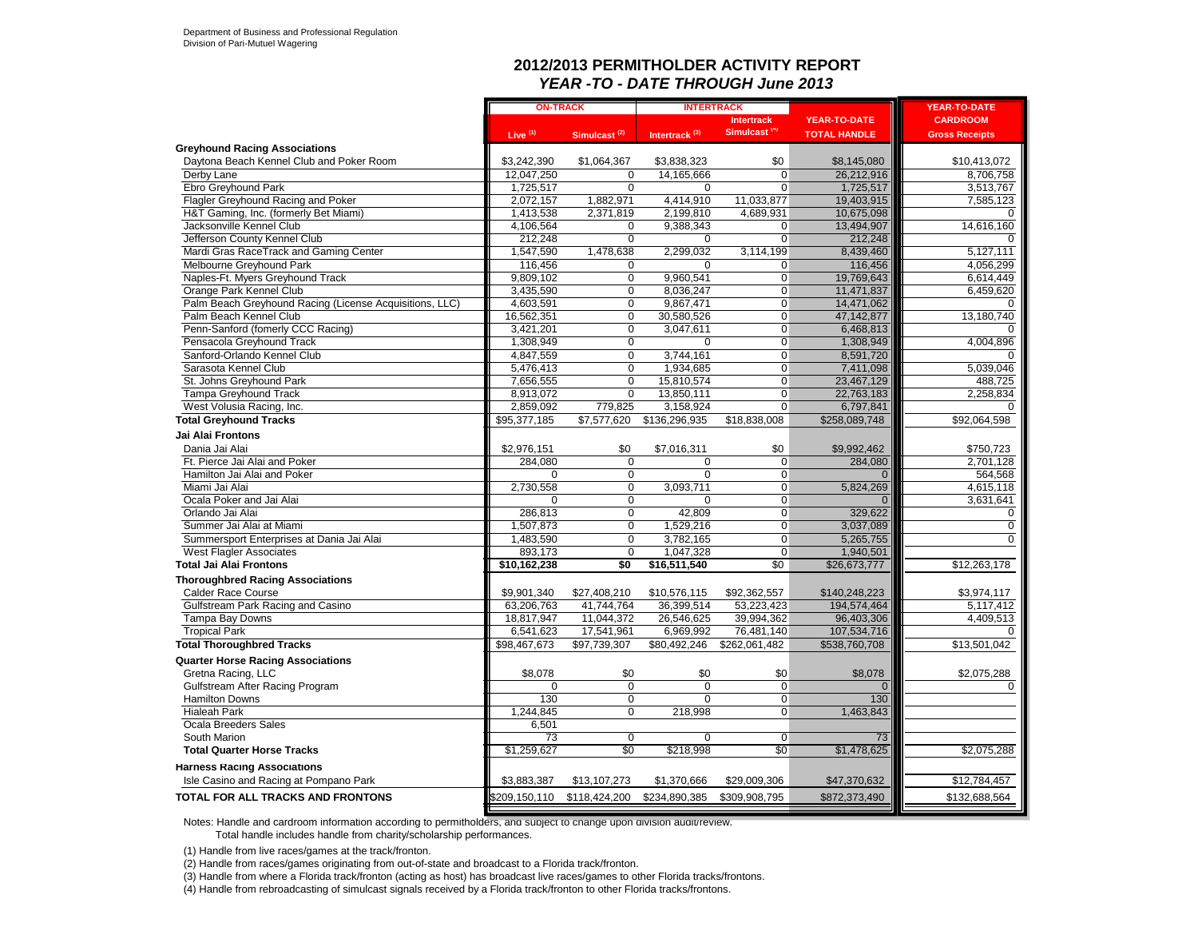#### **2012/2013 PERMITHOLDER ACTIVITY REPORT** *YEAR -TO - DATE THROUGH June 2013*

|                                                         | <b>ON-TRACK</b> |                          | <b>INTERTRACK</b>         |                          |                     | <b>YEAR-TO-DATE</b>      |
|---------------------------------------------------------|-----------------|--------------------------|---------------------------|--------------------------|---------------------|--------------------------|
|                                                         |                 |                          |                           | <b>Intertrack</b>        | <b>YEAR-TO-DATE</b> | <b>CARDROOM</b>          |
|                                                         | Live $(1)$      | Simulcast <sup>(2)</sup> | Intertrack <sup>(3)</sup> | Simulcast <sup>(4)</sup> | <b>TOTAL HANDLE</b> | <b>Gross Receipts</b>    |
| <b>Greyhound Racing Associations</b>                    |                 |                          |                           |                          |                     |                          |
| Daytona Beach Kennel Club and Poker Room                | \$3,242,390     | \$1,064,367              | \$3,838,323               | \$0                      | \$8,145,080         | \$10,413,072             |
| Derby Lane                                              | 12,047,250      | 0                        | 14,165,666                | 0                        | 26,212,916          | 8,706,758                |
| Ebro Greyhound Park                                     | 1,725,517       | 0                        | $\Omega$                  | 0                        | 1,725,517           | 3,513,767                |
| Flagler Greyhound Racing and Poker                      | 2,072,157       | 1,882,971                | 4,414,910                 | 11,033,877               | 19,403,915          | 7,585,123                |
| H&T Gaming, Inc. (formerly Bet Miami)                   | 1,413,538       | 2,371,819                | 2,199,810                 | 4,689,931                | 10,675,098          | $\Omega$                 |
| Jacksonville Kennel Club                                | 4,106,564       | 0                        | 9,388,343                 | 0                        | 13,494,907          | 14,616,160               |
| Jefferson County Kennel Club                            | 212,248         | 0                        | 0                         | 0                        | 212,248             |                          |
| Mardi Gras RaceTrack and Gaming Center                  | 1,547,590       | 1,478,638                | 2,299,032                 | 3,114,199                | 8,439,460           | 5,127,111                |
| Melbourne Greyhound Park                                | 116,456         | 0                        | 0                         | 0                        | 116,456             | 4,056,299                |
| Naples-Ft. Myers Greyhound Track                        | 9,809,102       | 0                        | 9,960,541                 | 0                        | 19,769,643          | 6,614,449                |
| Orange Park Kennel Club                                 | 3,435,590       | 0                        | 8,036,247                 | 0                        | 11,471,837          | 6,459,620                |
| Palm Beach Greyhound Racing (License Acquisitions, LLC) | 4,603,591       | 0                        | 9,867,471                 | $\overline{0}$           | 14,471,062          |                          |
| Palm Beach Kennel Club                                  | 16,562,351      | 0                        | 30,580,526                | 0                        | 47,142,877          | 13,180,740               |
| Penn-Sanford (fomerly CCC Racing)                       | 3,421,201       | 0                        | 3,047,611                 | 0                        | 6,468,813           |                          |
| Pensacola Greyhound Track                               | 1,308,949       | $\overline{0}$           | $\Omega$                  | $\overline{0}$           | 1,308,949           | 4,004,896                |
| Sanford-Orlando Kennel Club                             | 4,847,559       | 0                        | 3,744,161                 | 0                        | 8,591,720           |                          |
| Sarasota Kennel Club                                    | 5,476,413       | 0                        | 1,934,685                 | 0                        | 7,411,098           | 5,039,046                |
| St. Johns Greyhound Park                                | 7,656,555       | 0                        | 15,810,574                | 0                        | 23,467,129          | 488,725                  |
| <b>Tampa Greyhound Track</b>                            | 8,913,072       | 0                        | 13,850,111                | $\overline{0}$           | 22,763,183          | 2,258,834                |
| West Volusia Racing, Inc.                               | 2,859,092       | 779,825                  | 3,158,924                 | 0                        | 6,797,841           | $\Omega$                 |
| <b>Total Greyhound Tracks</b>                           | \$95,377,185    | \$7,577,620              | \$136,296,935             | \$18,838,008             | \$258,089,748       | \$92,064,598             |
| Jai Alai Frontons                                       |                 |                          |                           |                          |                     |                          |
| Dania Jai Alai                                          | \$2,976,151     | \$0                      | \$7,016,311               | \$0                      | \$9,992,462         | \$750,723                |
| Ft. Pierce Jai Alai and Poker                           | 284,080         | 0                        | $\mathbf 0$               | $\mathbf 0$              | 284,080             | 2,701,128                |
| Hamilton Jai Alai and Poker                             | $\Omega$        | $\overline{0}$           | $\Omega$                  | $\overline{0}$           | $\overline{0}$      | 564,568                  |
| Miami Jai Alai                                          | 2,730,558       | $\overline{0}$           | 3,093,711                 | $\overline{0}$           | 5,824,269           | 4,615,118                |
| Ocala Poker and Jai Alai                                | 0               | 0                        | $\Omega$                  | 0                        | $\Omega$            | 3,631,641                |
| Orlando Jai Alai                                        | 286,813         | 0                        | 42,809                    | $\overline{0}$           | 329,622             | 0                        |
| Summer Jai Alai at Miami                                | 1,507,873       | 0                        | 1,529,216                 | 0                        | 3,037,089           | 0                        |
| Summersport Enterprises at Dania Jai Alai               | 1,483,590       | 0                        | 3,782,165                 | 0                        | 5,265,755           | $\Omega$                 |
| <b>West Flagler Associates</b>                          | 893,173         | 0                        | 1,047,328                 | 0                        | 1,940,501           |                          |
| <b>Total Jai Alai Frontons</b>                          | \$10,162,238    | \$0                      | \$16,511,540              | $\overline{50}$          | \$26,673,777        | $\overline{$12,263,178}$ |
| <b>Thoroughbred Racing Associations</b>                 |                 |                          |                           |                          |                     |                          |
| <b>Calder Race Course</b>                               | \$9,901,340     | \$27,408,210             | \$10,576,115              | \$92,362,557             | \$140,248,223       | \$3,974,117              |
| Gulfstream Park Racing and Casino                       | 63,206,763      | 41,744,764               | 36,399,514                | 53,223,423               | 194,574,464         | 5,117,412                |
| Tampa Bay Downs                                         | 18,817,947      | 11,044,372               | 26,546,625                | 39,994,362               | 96,403,306          | 4,409,513                |
| <b>Tropical Park</b>                                    | 6,541,623       | 17,541,961               | 6,969,992                 | 76,481,140               | 107,534,716         | $\Omega$                 |
| <b>Total Thoroughbred Tracks</b>                        | \$98,467,673    | \$97,739,307             | \$80,492,246              | \$262,061,482            | \$538,760,708       | \$13,501,042             |
| <b>Quarter Horse Racing Associations</b>                |                 |                          |                           |                          |                     |                          |
| Gretna Racing, LLC                                      | \$8,078         | \$0                      | \$0                       | \$0                      | \$8,078             | \$2,075,288              |
| Gulfstream After Racing Program                         | $\Omega$        | $\Omega$                 | $\Omega$                  | $\Omega$                 | 0                   |                          |
| <b>Hamilton Downs</b>                                   | 130             | 0                        | $\Omega$                  | $\mathbf 0$              | 130                 |                          |
| <b>Hialeah Park</b>                                     | 1.244.845       | 0                        | 218,998                   | $\Omega$                 | 1,463,843           |                          |
| Ocala Breeders Sales                                    | 6,501           |                          |                           |                          |                     |                          |
| South Marion                                            | 73              | 0                        | 0                         | $\mathbf 0$              | 73                  |                          |
| <b>Total Quarter Horse Tracks</b>                       | \$1,259,627     | \$0                      | \$218,998                 | \$0                      | \$1,478,625         | \$2,075,288              |
| <b>Harness Racing Associations</b>                      |                 |                          |                           |                          |                     |                          |
| Isle Casino and Racing at Pompano Park                  | \$3,883,387     | \$13,107,273             | \$1,370,666               | \$29,009,306             | \$47,370,632        | \$12,784,457             |
|                                                         |                 |                          |                           |                          |                     |                          |
| <b>TOTAL FOR ALL TRACKS AND FRONTONS</b>                | \$209,150,110   | \$118,424,200            | \$234,890,385             | \$309,908,795            | \$872,373,490       | \$132,688,564            |

Notes: Handle and cardroom information according to permitholders, and subject to change upon division audit/review.

Total handle includes handle from charity/scholarship performances.

(1) Handle from live races/games at the track/fronton.

(2) Handle from races/games originating from out-of-state and broadcast to a Florida track/fronton.

(3) Handle from where a Florida track/fronton (acting as host) has broadcast live races/games to other Florida tracks/frontons.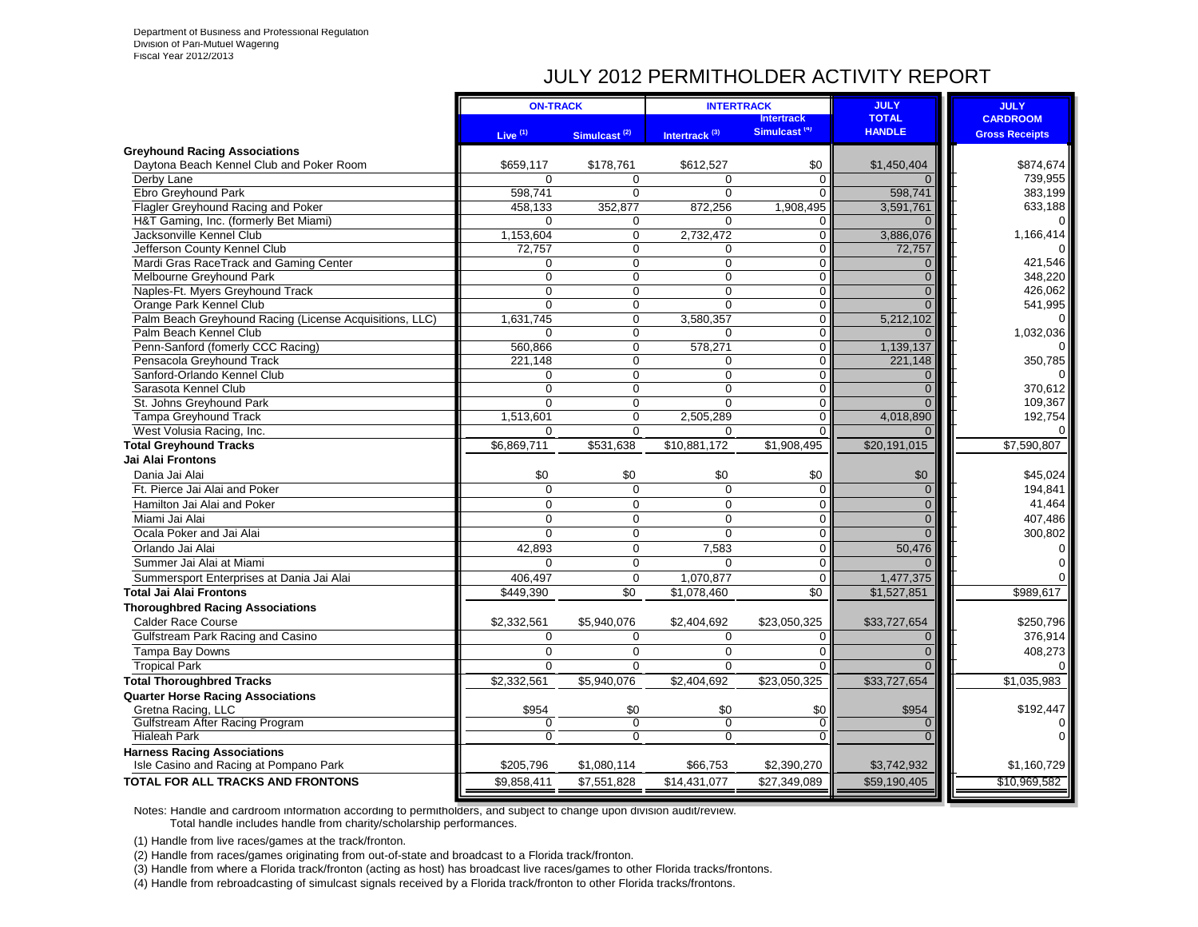## JULY 2012 PERMITHOLDER ACTIVITY REPORT

|                                                                              | <b>ON-TRACK</b> |                          | <b>INTERTRACK</b>         |                          | <b>JULY</b>    | <b>JULY</b>           |
|------------------------------------------------------------------------------|-----------------|--------------------------|---------------------------|--------------------------|----------------|-----------------------|
|                                                                              |                 |                          |                           | <b>Intertrack</b>        | <b>TOTAL</b>   | <b>CARDROOM</b>       |
|                                                                              | Live $(1)$      | Simulcast <sup>(2)</sup> | Intertrack <sup>(3)</sup> | Simulcast <sup>(4)</sup> | <b>HANDLE</b>  | <b>Gross Receipts</b> |
| <b>Greyhound Racing Associations</b>                                         |                 |                          |                           |                          |                |                       |
| Daytona Beach Kennel Club and Poker Room                                     | \$659,117       | \$178,761                | \$612,527                 | \$0                      | \$1,450,404    | \$874,674             |
| Derby Lane                                                                   | $\Omega$        | $\Omega$                 | $\Omega$                  | $\Omega$                 |                | 739,955               |
| Ebro Greyhound Park                                                          | 598.741         | $\Omega$                 | $\Omega$                  | $\Omega$                 | 598,741        | 383,199               |
| Flagler Greyhound Racing and Poker                                           | 458,133         | 352,877                  | 872,256                   | 1,908,495                | 3,591,761      | 633,188               |
| H&T Gaming, Inc. (formerly Bet Miami)                                        | $\Omega$        | $\mathbf 0$              | $\Omega$                  | 0                        |                | 0                     |
| Jacksonville Kennel Club                                                     | 1,153,604       | $\mathbf 0$              | 2,732,472                 | $\mathbf 0$              | 3,886,076      | 1,166,414             |
| Jefferson County Kennel Club                                                 | 72,757          | $\mathbf 0$              | $\Omega$                  | 0                        | 72,757         |                       |
| Mardi Gras RaceTrack and Gaming Center                                       | 0               | $\mathbf 0$              | $\mathbf 0$               | $\mathbf 0$              | $\Omega$       | 421,546               |
| Melbourne Greyhound Park                                                     | $\mathbf 0$     | $\mathbf 0$              | $\mathbf 0$               | $\mathbf 0$              | $\Omega$       | 348,220               |
| Naples-Ft. Myers Greyhound Track                                             | $\Omega$        | $\mathbf 0$              | $\mathbf 0$               | $\mathbf 0$              | $\Omega$       | 426,062               |
| Orange Park Kennel Club                                                      | $\Omega$        | $\mathbf 0$              | $\Omega$                  | $\mathbf 0$              | $\Omega$       | 541,995               |
| Palm Beach Greyhound Racing (License Acquisitions, LLC)                      | 1.631.745       | $\Omega$                 | 3,580,357                 | $\overline{0}$           | 5,212,102      | $\Omega$              |
| Palm Beach Kennel Club                                                       | $\Omega$        | $\mathbf 0$              | $\Omega$                  | $\overline{0}$           |                | 1,032,036             |
| Penn-Sanford (fomerly CCC Racing)                                            | 560,866         | $\mathbf 0$              | 578,271                   | $\mathbf 0$              | 1,139,137      |                       |
| Pensacola Greyhound Track                                                    | 221.148         | $\overline{0}$           | $\Omega$                  | $\mathbf 0$              | 221,148        | 350,785               |
| Sanford-Orlando Kennel Club                                                  | $\Omega$        | $\overline{0}$           | $\overline{0}$            | $\overline{0}$           | $\Omega$       | 0                     |
| Sarasota Kennel Club                                                         | $\mathbf 0$     | $\mathbf 0$              | $\mathbf 0$               | $\mathbf 0$              | $\Omega$       | 370,612               |
| St. Johns Greyhound Park                                                     | $\Omega$        | $\mathbf 0$              | $\Omega$                  | $\mathbf 0$              | $\Omega$       | 109,367               |
| <b>Tampa Greyhound Track</b>                                                 | 1,513,601       | $\mathbf 0$              | 2,505,289                 | $\mathbf 0$              | 4,018,890      | 192,754               |
| West Volusia Racing, Inc.                                                    | $\Omega$        | $\Omega$                 | $\Omega$                  | $\Omega$                 | $\Omega$       | $\Omega$              |
| <b>Total Greyhound Tracks</b>                                                | \$6,869,711     | \$531,638                | \$10,881,172              | \$1,908,495              | \$20,191,015   | \$7,590,807           |
| Jai Alai Frontons                                                            |                 |                          |                           |                          |                |                       |
| Dania Jai Alai                                                               | \$0             | \$0                      | \$0                       | \$0                      | \$0            | \$45,024              |
| Ft. Pierce Jai Alai and Poker                                                | $\Omega$        | $\Omega$                 | $\Omega$                  | $\Omega$                 | $\Omega$       | 194,841               |
| Hamilton Jai Alai and Poker                                                  | $\Omega$        | $\Omega$                 | $\Omega$                  | $\Omega$                 | $\Omega$       | 41.464                |
| Miami Jai Alai                                                               | $\Omega$        | $\mathbf 0$              | $\Omega$                  | 0                        | $\Omega$       | 407,486               |
| Ocala Poker and Jai Alai                                                     | $\overline{0}$  | $\overline{0}$           | $\Omega$                  | 0                        | $\Omega$       | 300,802               |
| Orlando Jai Alai                                                             | 42.893          | $\mathbf 0$              | 7,583                     | $\mathbf 0$              | 50,476         | $\Omega$              |
| Summer Jai Alai at Miami                                                     | $\Omega$        | $\Omega$                 | $\Omega$                  | 0                        | $\Omega$       | 0                     |
| Summersport Enterprises at Dania Jai Alai                                    | 406,497         | $\mathbf 0$              | 1,070,877                 | $\mathbf 0$              | 1,477,375      |                       |
| <b>Total Jai Alai Frontons</b>                                               | \$449,390       | \$0                      | \$1,078,460               | \$0                      | \$1,527,851    | \$989,617             |
| <b>Thoroughbred Racing Associations</b>                                      |                 |                          |                           |                          |                |                       |
| <b>Calder Race Course</b>                                                    | \$2,332,561     | \$5,940,076              | \$2,404,692               | \$23,050,325             | \$33,727,654   | \$250,796             |
| Gulfstream Park Racing and Casino                                            | $\mathbf 0$     | $\mathbf 0$              | $\Omega$                  | $\mathbf 0$              | $\overline{0}$ | 376,914               |
| Tampa Bay Downs                                                              | $\mathbf 0$     | $\mathbf 0$              | $\mathbf 0$               | $\mathbf 0$              | $\overline{0}$ | 408,273               |
| <b>Tropical Park</b>                                                         | $\Omega$        | $\Omega$                 | $\overline{0}$            | $\Omega$                 | $\Omega$       | $\Omega$              |
| <b>Total Thoroughbred Tracks</b>                                             | \$2,332,561     | \$5,940,076              | \$2.404.692               | \$23,050,325             | \$33,727,654   | \$1,035,983           |
|                                                                              |                 |                          |                           |                          |                |                       |
| <b>Quarter Horse Racing Associations</b>                                     | \$954           | \$0                      | \$0                       | \$0                      | \$954          | \$192,447             |
| Gretna Racing, LLC<br>Gulfstream After Racing Program                        | 0               | $\overline{0}$           | $\overline{0}$            | $\overline{0}$           | $\mathbf{0}$   |                       |
| <b>Hialeah Park</b>                                                          | $\mathbf 0$     | $\mathbf 0$              | $\mathbf 0$               | 0                        | $\Omega$       | $\Omega$              |
|                                                                              |                 |                          |                           |                          |                |                       |
| <b>Harness Racing Associations</b><br>Isle Casino and Racing at Pompano Park | \$205,796       | \$1,080,114              | \$66,753                  | \$2,390,270              | \$3,742,932    | \$1,160,729           |
| <b>TOTAL FOR ALL TRACKS AND FRONTONS</b>                                     | \$9,858,411     | \$7,551,828              | \$14,431,077              | \$27,349,089             | \$59,190,405   | \$10,969,582          |
|                                                                              |                 |                          |                           |                          |                |                       |

Notes: Handle and cardroom information according to permitholders, and subject to change upon division audit/review. Total handle includes handle from charity/scholarship performances.

(1) Handle from live races/games at the track/fronton.

(2) Handle from races/games originating from out-of-state and broadcast to a Florida track/fronton.

(3) Handle from where a Florida track/fronton (acting as host) has broadcast live races/games to other Florida tracks/frontons.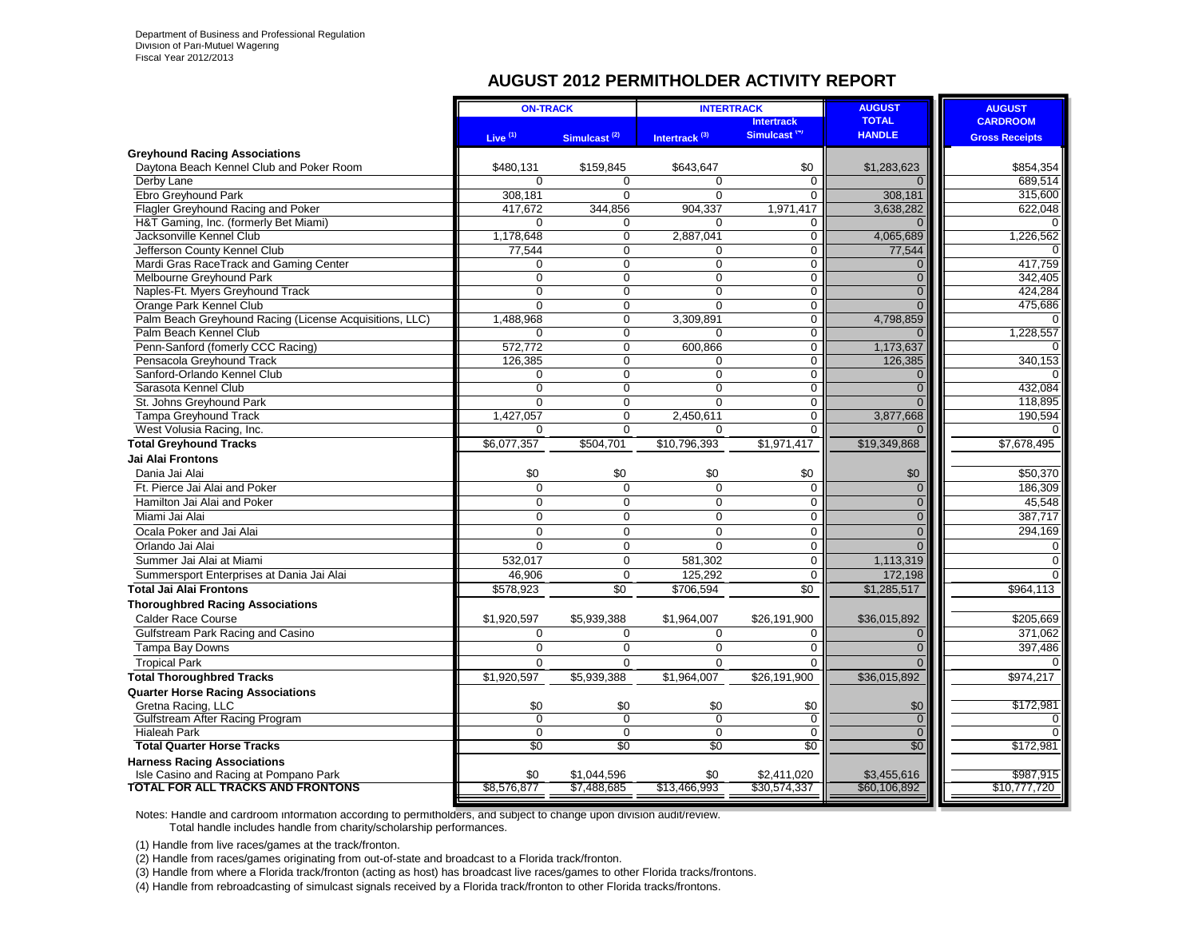#### **AUGUST 2012 PERMITHOLDER ACTIVITY REPORT**

|                                                                                    | <b>ON-TRACK</b>     |                            | <b>INTERTRACK</b>         |                                  | <b>AUGUST</b>               | <b>AUGUST</b>             |
|------------------------------------------------------------------------------------|---------------------|----------------------------|---------------------------|----------------------------------|-----------------------------|---------------------------|
|                                                                                    |                     |                            |                           | <b>Intertrack</b>                | <b>TOTAL</b>                | <b>CARDROOM</b>           |
|                                                                                    | Live $(1)$          | Simulcast <sup>(2)</sup>   | Intertrack <sup>(3)</sup> | Simulcast <sup>(4)</sup>         | <b>HANDLE</b>               | <b>Gross Receipts</b>     |
| <b>Greyhound Racing Associations</b>                                               |                     |                            |                           |                                  |                             |                           |
| Davtona Beach Kennel Club and Poker Room                                           | \$480.131           | \$159,845                  | \$643.647                 | \$0                              | \$1,283,623                 | \$854,354                 |
| Derby Lane                                                                         | $\Omega$            | $\Omega$                   | $\Omega$                  | $\Omega$                         |                             | 689.514                   |
| Ebro Greyhound Park                                                                | 308.181             | $\Omega$                   | $\Omega$                  | $\Omega$                         | 308,181                     | 315,600                   |
| Flagler Greyhound Racing and Poker                                                 | 417,672             | 344,856                    | 904,337                   | 1,971,417                        | 3,638,282                   | 622,048                   |
| H&T Gaming, Inc. (formerly Bet Miami)                                              | $\Omega$            | $\Omega$                   | 0                         | 0                                | $\Omega$                    |                           |
| Jacksonville Kennel Club                                                           | 1,178,648           | $\mathbf 0$                | 2,887,041                 | $\overline{0}$                   | 4,065,689                   | 1,226,562                 |
| Jefferson County Kennel Club                                                       | 77,544              | $\mathbf 0$                | 0                         | 0                                | 77,544                      |                           |
| Mardi Gras RaceTrack and Gaming Center                                             | 0                   | $\Omega$                   | $\Omega$                  | $\Omega$                         | $\Omega$                    | 417.759                   |
| Melbourne Greyhound Park                                                           | $\Omega$            | $\mathbf 0$                | $\Omega$                  | 0                                | $\mathbf{0}$                | 342.405                   |
| Naples-Ft. Myers Greyhound Track                                                   | $\Omega$            | $\Omega$                   | 0                         | 0                                | $\overline{0}$              | 424.284                   |
| <b>Orange Park Kennel Club</b>                                                     | $\Omega$            | $\mathbf 0$                | $\Omega$                  | 0                                | $\Omega$                    | 475,686                   |
| Palm Beach Greyhound Racing (License Acquisitions, LLC)                            | 1,488,968           | $\overline{0}$             | 3,309,891                 | $\overline{0}$                   | 4,798,859                   | 0<br>1,228,557            |
| Palm Beach Kennel Club<br>Penn-Sanford (fomerly CCC Racing)                        | $\Omega$<br>572,772 | $\mathbf 0$<br>$\mathbf 0$ | $\Omega$                  | $\overline{0}$<br>$\overline{0}$ | 1,173,637                   |                           |
| Pensacola Greyhound Track                                                          | 126,385             | $\mathbf 0$                | 600,866<br>$\Omega$       | 0                                | 126,385                     | 340,153                   |
| Sanford-Orlando Kennel Club                                                        | $\Omega$            | $\Omega$                   | $\overline{0}$            | $\Omega$                         | $\Omega$                    |                           |
| Sarasota Kennel Club                                                               | $\Omega$            | $\Omega$                   | $\Omega$                  | $\Omega$                         | $\Omega$                    | 432.084                   |
| St. Johns Greyhound Park                                                           | $\Omega$            | $\Omega$                   | $\overline{0}$            | 0                                | $\Omega$                    | 118,895                   |
| Tampa Greyhound Track                                                              | 1,427,057           | $\Omega$                   | 2,450,611                 | $\overline{0}$                   | 3,877,668                   | 190.594                   |
| West Volusia Racing, Inc.                                                          | $\Omega$            | $\Omega$                   | 0                         | $\Omega$                         | $\Omega$                    |                           |
| <b>Total Greyhound Tracks</b>                                                      | \$6,077,357         | \$504,701                  | \$10,796,393              | \$1,971,417                      | \$19,349,868                | \$7,678,495               |
| Jai Alai Frontons                                                                  |                     |                            |                           |                                  |                             |                           |
| Dania Jai Alai                                                                     | \$0                 | \$0                        | \$0                       | \$0                              | \$0                         | \$50,370                  |
| Ft. Pierce Jai Alai and Poker                                                      | 0                   | $\mathbf 0$                | $\mathbf 0$               | $\mathbf 0$                      | $\overline{0}$              | 186,309                   |
| Hamilton Jai Alai and Poker                                                        | 0                   | $\mathbf 0$                | $\Omega$                  | $\overline{0}$                   | $\overline{0}$              | 45,548                    |
| Miami Jai Alai                                                                     | $\Omega$            | 0                          | 0                         | $\overline{0}$                   | $\overline{0}$              | 387,717                   |
| Ocala Poker and Jai Alai                                                           | $\Omega$            | $\Omega$                   | $\Omega$                  | 0                                | $\overline{0}$              | 294.169                   |
| Orlando Jai Alai                                                                   | $\Omega$            | $\Omega$                   | $\Omega$                  | $\Omega$                         | $\Omega$                    | $\Omega$                  |
| Summer Jai Alai at Miami                                                           | 532,017             | $\mathbf 0$                | 581,302                   | 0                                | 1,113,319                   | $\Omega$                  |
| Summersport Enterprises at Dania Jai Alai                                          | 46.906              | $\Omega$                   | 125.292                   | $\Omega$                         | 172,198                     | $\Omega$                  |
| <b>Total Jai Alai Frontons</b>                                                     | \$578,923           | \$0                        | \$706,594                 | \$0                              | \$1,285,517                 | \$964,113                 |
| <b>Thoroughbred Racing Associations</b>                                            |                     |                            |                           |                                  |                             |                           |
| <b>Calder Race Course</b>                                                          | \$1,920,597         | \$5,939,388                | \$1,964,007               | \$26,191,900                     | \$36,015,892                | \$205,669                 |
| Gulfstream Park Racing and Casino                                                  | $\Omega$            | $\Omega$                   | $\Omega$                  | $\Omega$                         | $\mathbf 0$                 | 371.062                   |
| Tampa Bay Downs                                                                    | $\overline{0}$      | $\Omega$                   | $\Omega$                  | $\Omega$                         | $\overline{0}$              | 397,486                   |
| <b>Tropical Park</b>                                                               | $\overline{0}$      | $\Omega$                   | $\Omega$                  | $\Omega$                         | $\Omega$                    |                           |
| <b>Total Thoroughbred Tracks</b>                                                   | \$1,920,597         | \$5,939,388                | \$1,964,007               | \$26,191,900                     | \$36,015,892                | \$974,217                 |
| <b>Quarter Horse Racing Associations</b>                                           |                     |                            |                           |                                  |                             |                           |
| Gretna Racing, LLC                                                                 | \$0                 | \$0                        | \$0                       | \$0                              | \$0                         | \$172,981                 |
| <b>Gulfstream After Racing Program</b>                                             | $\overline{0}$      | $\overline{0}$             | $\overline{0}$            | $\overline{0}$                   | $\overline{0}$              |                           |
| <b>Hialeah Park</b>                                                                | $\Omega$            | $\mathbf 0$                | $\mathbf 0$               | 0                                | $\overline{0}$              | $\Omega$                  |
| <b>Total Quarter Horse Tracks</b>                                                  | $\overline{50}$     | $\overline{50}$            | \$0                       | \$0                              | \$0                         | \$172,981                 |
| <b>Harness Racing Associations</b>                                                 |                     |                            |                           |                                  |                             |                           |
| Isle Casino and Racing at Pompano Park<br><b>TOTAL FOR ALL TRACKS AND FRONTONS</b> | \$0<br>\$8,576,877  | \$1,044,596<br>\$7,488,685 | \$0<br>\$13,466,993       | \$2,411,020<br>\$30,574,337      | \$3,455,616<br>\$60,106,892 | \$987,915<br>\$10,777,720 |
|                                                                                    |                     |                            |                           |                                  |                             |                           |

Notes: Handle and cardroom information according to permitholders, and subject to change upon division audit/review. Total handle includes handle from charity/scholarship performances.

(1) Handle from live races/games at the track/fronton.

(2) Handle from races/games originating from out-of-state and broadcast to a Florida track/fronton.

(3) Handle from where a Florida track/fronton (acting as host) has broadcast live races/games to other Florida tracks/frontons.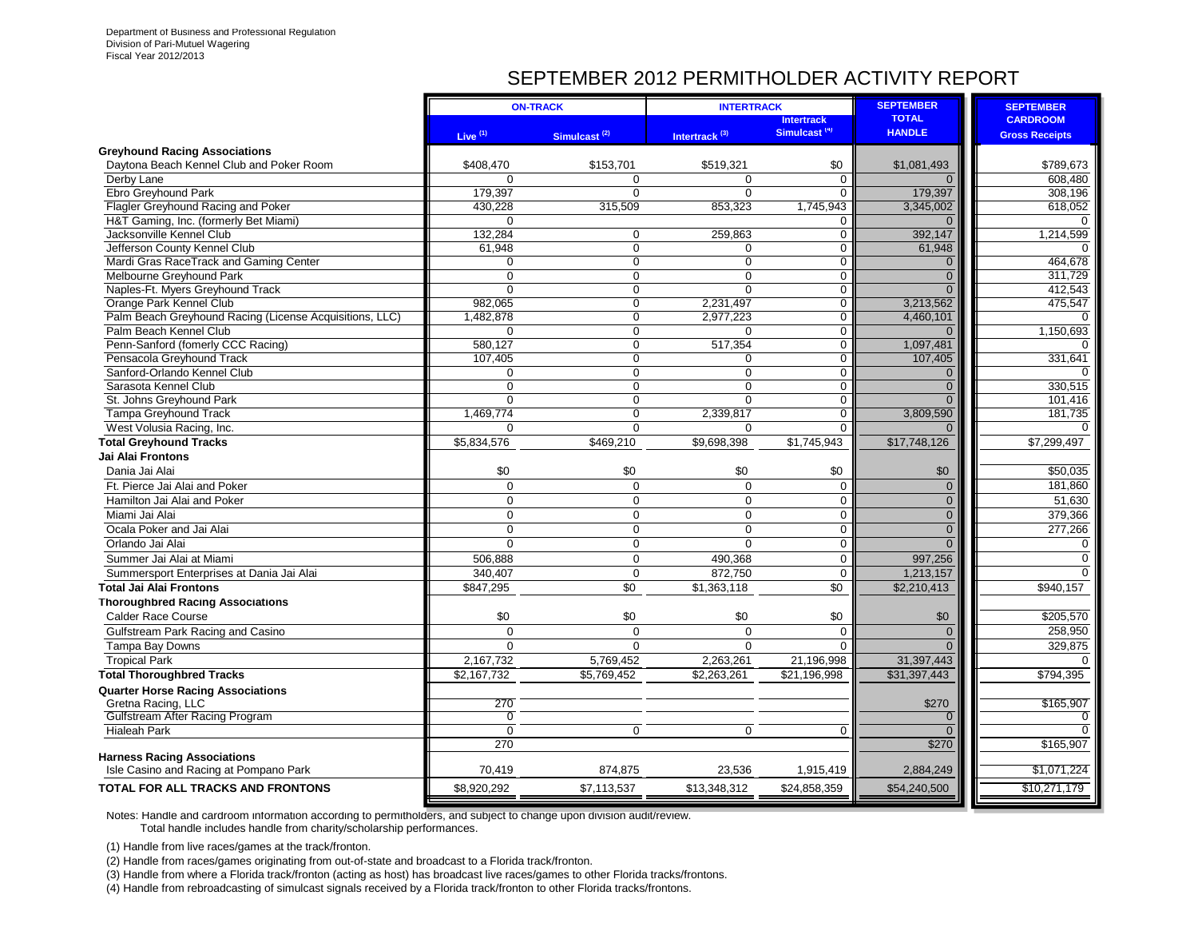# SEPTEMBER 2012 PERMITHOLDER ACTIVITY REPORT

|                                                                                   |                       | <b>ON-TRACK</b>            | <b>INTERTRACK</b>         |                          | <b>SEPTEMBER</b>      | <b>SEPTEMBER</b>      |
|-----------------------------------------------------------------------------------|-----------------------|----------------------------|---------------------------|--------------------------|-----------------------|-----------------------|
|                                                                                   |                       |                            |                           | <b>Intertrack</b>        | <b>TOTAL</b>          | <b>CARDROOM</b>       |
|                                                                                   | Live $(1)$            | Simulcast <sup>(2)</sup>   | Intertrack <sup>(3)</sup> | Simulcast <sup>(4)</sup> | <b>HANDLE</b>         | <b>Gross Receipts</b> |
| <b>Greyhound Racing Associations</b>                                              |                       |                            |                           |                          |                       |                       |
| Daytona Beach Kennel Club and Poker Room                                          | \$408,470             | \$153.701                  | \$519.321                 | \$0                      | \$1,081,493           | \$789,673             |
| Derby Lane                                                                        | $\Omega$              | $\Omega$                   | $\Omega$                  | $\Omega$                 | $\Omega$              | 608.480               |
| Ebro Greyhound Park                                                               | 179.397               | $\Omega$                   | $\Omega$                  | $\Omega$                 | 179,397               | 308,196               |
| Flagler Greyhound Racing and Poker                                                | 430.228               | 315,509                    | 853,323                   | 1,745,943                | 3,345,002             | 618,052               |
| H&T Gaming, Inc. (formerly Bet Miami)                                             | $\Omega$              |                            |                           | 0                        | $\Omega$              | $\Omega$              |
| Jacksonville Kennel Club                                                          | 132,284               | $\mathbf 0$                | 259,863                   | $\mathbf 0$              | 392,147               | 1,214,599             |
| Jefferson County Kennel Club                                                      | 61,948                | $\mathbf 0$                | $\Omega$                  | $\overline{0}$           | 61,948                |                       |
| Mardi Gras RaceTrack and Gaming Center                                            | $\Omega$              | $\mathbf 0$                | $\overline{0}$            | $\overline{0}$           | $\Omega$              | 464,678               |
| Melbourne Greyhound Park                                                          | $\Omega$              | $\mathbf 0$                | $\mathbf 0$               | $\mathbf 0$              | $\Omega$              | 311,729               |
| Naples-Ft. Myers Greyhound Track                                                  | $\mathbf 0$           | $\boldsymbol{0}$           | $\mathbf 0$               | $\mathbf 0$              | $\Omega$              | 412,543               |
| Orange Park Kennel Club                                                           | 982,065               | $\boldsymbol{0}$           | 2,231,497                 | $\Omega$                 | 3,213,562             | 475,547               |
| Palm Beach Greyhound Racing (License Acquisitions, LLC)<br>Palm Beach Kennel Club | 1,482,878<br>$\Omega$ | $\mathbf 0$<br>$\mathbf 0$ | 2,977,223<br>$\Omega$     | 0<br>$\Omega$            | 4,460,101<br>$\Omega$ | $\Omega$<br>1,150,693 |
|                                                                                   | 580.127               | $\mathbf 0$                | 517,354                   | $\mathbf 0$              |                       | $\Omega$              |
| Penn-Sanford (fomerly CCC Racing)<br>Pensacola Greyhound Track                    | 107.405               | $\overline{0}$             | $\Omega$                  | $\Omega$                 | 1,097,481<br>107.405  | 331,641               |
| Sanford-Orlando Kennel Club                                                       | 0                     | $\mathbf 0$                | 0                         | $\mathbf 0$              | $\mathbf{0}$          | ∩                     |
| Sarasota Kennel Club                                                              | $\overline{0}$        | $\mathbf 0$                | $\mathbf{0}$              | $\mathbf 0$              | $\overline{0}$        | 330,515               |
| St. Johns Greyhound Park                                                          | $\mathbf 0$           | $\boldsymbol{0}$           | $\mathbf 0$               | $\mathbf 0$              | $\Omega$              | 101,416               |
| Tampa Greyhound Track                                                             | 1,469,774             | $\mathbf 0$                | 2,339,817                 | $\mathbf 0$              | 3,809,590             | 181,735               |
| West Volusia Racing, Inc.                                                         | $\Omega$              | $\mathbf 0$                | $\Omega$                  | $\Omega$                 |                       |                       |
| <b>Total Greyhound Tracks</b>                                                     | \$5,834,576           | \$469,210                  | \$9,698,398               | \$1,745,943              | \$17,748,126          | \$7,299,497           |
| <b>Jai Alai Frontons</b>                                                          |                       |                            |                           |                          |                       |                       |
| Dania Jai Alai                                                                    | \$0                   | \$0                        | \$0                       | \$0                      | \$0                   | \$50,035              |
| Ft. Pierce Jai Alai and Poker                                                     | $\mathbf 0$           | $\mathbf 0$                | $\mathbf 0$               | $\mathbf 0$              | $\mathbf{0}$          | 181,860               |
| Hamilton Jai Alai and Poker                                                       | $\Omega$              | $\pmb{0}$                  | $\overline{0}$            | $\mathbf 0$              | $\mathbf 0$           | 51,630                |
| Miami Jai Alai                                                                    | $\mathbf 0$           | $\mathbf 0$                | 0                         | $\mathbf 0$              | $\mathbf 0$           |                       |
|                                                                                   | $\Omega$              | $\Omega$                   | $\Omega$                  | $\Omega$                 | $\overline{0}$        | 379,366               |
| Ocala Poker and Jai Alai                                                          |                       |                            |                           |                          |                       | 277,266               |
| Orlando Jai Alai                                                                  | $\Omega$              | $\boldsymbol{0}$           | $\Omega$                  | $\mathbf 0$              | $\Omega$              | $\Omega$              |
| Summer Jai Alai at Miami                                                          | 506.888               | $\Omega$                   | 490,368                   | $\Omega$                 | 997,256               | $\Omega$              |
| Summersport Enterprises at Dania Jai Alai                                         | 340.407               | $\mathbf 0$                | 872,750                   | $\Omega$                 | 1,213,157             | $\Omega$              |
| <b>Total Jai Alai Frontons</b>                                                    | \$847,295             | \$0                        | \$1,363,118               | \$0                      | \$2,210,413           | \$940.157             |
| <b>Thoroughbred Racing Associations</b>                                           |                       |                            |                           |                          |                       |                       |
| <b>Calder Race Course</b>                                                         | \$0                   | \$0                        | \$0                       | \$0                      | \$0                   | \$205,570             |
| Gulfstream Park Racing and Casino                                                 | $\Omega$              | $\mathbf 0$                | $\Omega$                  | $\Omega$                 | $\mathbf{0}$          | 258,950               |
| Tampa Bay Downs                                                                   | $\Omega$              | $\Omega$                   | $\Omega$                  | $\Omega$                 | $\Omega$              | 329.875               |
| <b>Tropical Park</b>                                                              | 2,167,732             | 5,769,452                  | 2,263,261                 | 21,196,998               | 31,397,443            | $\Omega$              |
| <b>Total Thoroughbred Tracks</b>                                                  | \$2,167,732           | \$5,769,452                | \$2,263,261               | \$21,196,998             | \$31,397,443          | \$794,395             |
| <b>Quarter Horse Racing Associations</b>                                          |                       |                            |                           |                          |                       |                       |
| Gretna Racing, LLC                                                                | 270                   |                            |                           |                          | \$270                 | \$165,907             |
| Gulfstream After Racing Program                                                   | $\Omega$              |                            |                           |                          | $\overline{0}$        | 0                     |
| <b>Hialeah Park</b>                                                               | $\mathbf 0$           | $\mathbf 0$                | $\mathbf 0$               | $\Omega$                 | $\Omega$              | $\Omega$              |
|                                                                                   | 270                   |                            |                           |                          | \$270                 | \$165,907             |
| <b>Harness Racing Associations</b><br>Isle Casino and Racing at Pompano Park      | 70,419                | 874,875                    |                           |                          |                       | \$1,071,224           |
|                                                                                   |                       |                            | 23,536                    | 1,915,419                | 2,884,249             |                       |
| <b>TOTAL FOR ALL TRACKS AND FRONTONS</b>                                          | \$8,920,292           | \$7,113,537                | \$13,348,312              | \$24,858,359             | \$54,240,500          | \$10,271,179          |

Notes: Handle and cardroom information according to permitholders, and subject to change upon division audit/review. Total handle includes handle from charity/scholarship performances.

(1) Handle from live races/games at the track/fronton.

(2) Handle from races/games originating from out-of-state and broadcast to a Florida track/fronton.

(3) Handle from where a Florida track/fronton (acting as host) has broadcast live races/games to other Florida tracks/frontons.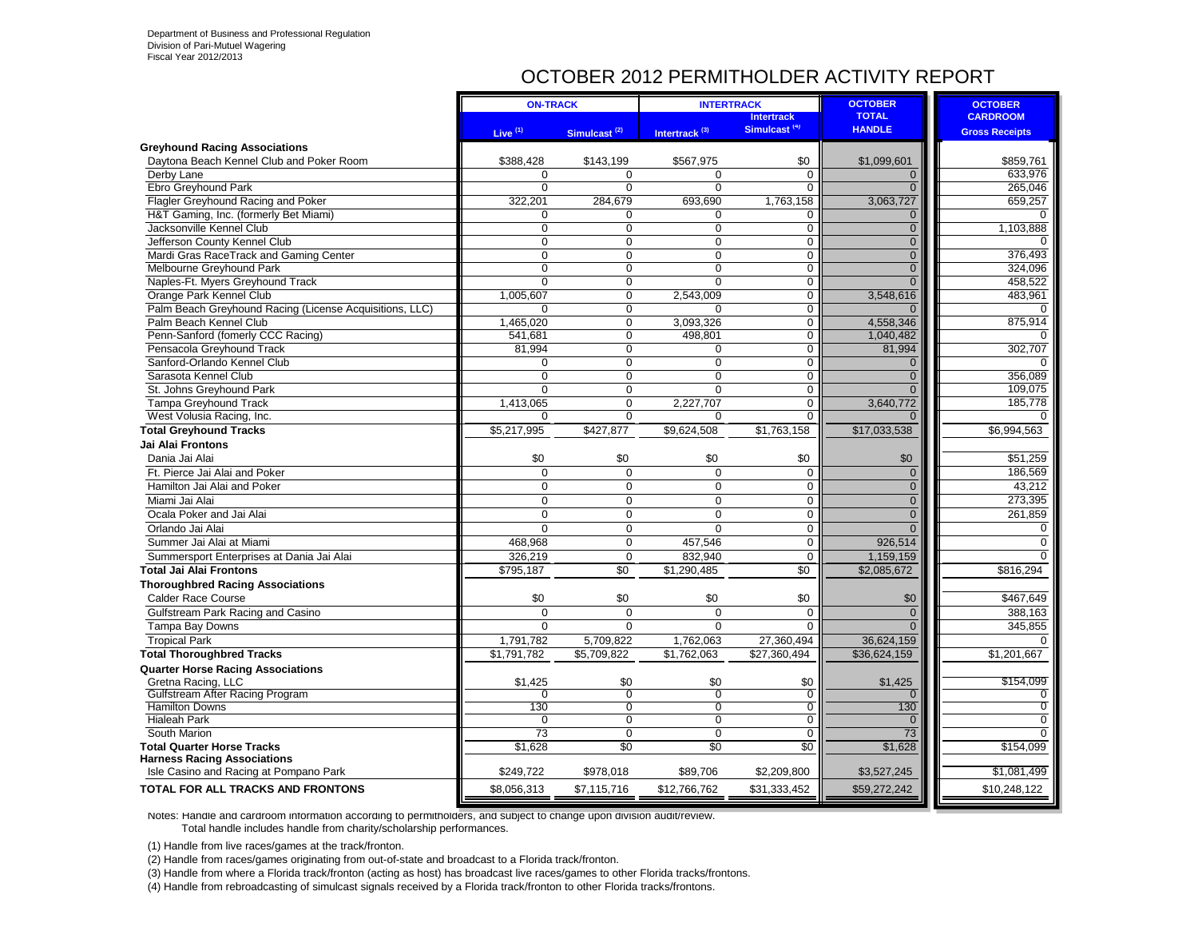### OCTOBER 2012 PERMITHOLDER ACTIVITY REPORT

|                                                         | <b>ON-TRACK</b>     |                          | <b>INTERTRACK</b>         |                          | <b>OCTOBER</b> | <b>OCTOBER</b>        |
|---------------------------------------------------------|---------------------|--------------------------|---------------------------|--------------------------|----------------|-----------------------|
|                                                         |                     |                          |                           | <b>Intertrack</b>        | <b>TOTAL</b>   | <b>CARDROOM</b>       |
|                                                         | Live <sup>(1)</sup> | Simulcast <sup>(2)</sup> | Intertrack <sup>(3)</sup> | Simulcast <sup>(4)</sup> | <b>HANDLE</b>  | <b>Gross Receipts</b> |
| <b>Greyhound Racing Associations</b>                    |                     |                          |                           |                          |                |                       |
| Daytona Beach Kennel Club and Poker Room                | \$388,428           | \$143,199                | \$567,975                 | \$0                      | \$1,099,601    | \$859,761             |
| Derby Lane                                              | $\Omega$            | $\Omega$                 | $\Omega$                  | $\Omega$                 | $\mathbf{0}$   | 633,976               |
| Ebro Greyhound Park                                     | $\Omega$            | $\Omega$                 | $\Omega$                  | 0                        | $\Omega$       | 265,046               |
| Flagler Greyhound Racing and Poker                      | 322,201             | 284,679                  | 693,690                   | 1,763,158                | 3,063,727      | 659,257               |
| H&T Gaming, Inc. (formerly Bet Miami)                   | $\Omega$            | $\Omega$                 | $\Omega$                  | $\mathbf 0$              | $\overline{0}$ | $\Omega$              |
| Jacksonville Kennel Club                                | $\mathbf 0$         | $\mathbf 0$              | 0                         | $\mathbf 0$              | $\mathbf{0}$   | 1,103,888             |
| Jefferson County Kennel Club                            | $\mathbf 0$         | $\Omega$                 | 0                         | $\mathbf 0$              | $\overline{0}$ | 0                     |
| Mardi Gras RaceTrack and Gaming Center                  | $\Omega$            | $\Omega$                 | $\Omega$                  | $\mathbf 0$              | $\overline{0}$ | 376,493               |
| Melbourne Greyhound Park                                | $\Omega$            | $\Omega$                 | $\Omega$                  | 0                        | $\Omega$       | 324,096               |
| Naples-Ft. Myers Greyhound Track                        | $\Omega$            | $\mathbf 0$              | $\Omega$                  | $\mathbf 0$              | $\Omega$       | 458,522               |
| Orange Park Kennel Club                                 | 1,005,607           | $\mathbf 0$              | 2,543,009                 | $\mathbf 0$              | 3,548,616      | 483,961               |
| Palm Beach Greyhound Racing (License Acquisitions, LLC) | $\Omega$            | $\mathbf 0$              | 0                         | $\mathbf 0$              | $\Omega$       | $\Omega$              |
| Palm Beach Kennel Club                                  | 1,465,020           | $\mathbf 0$              | 3,093,326                 | 0                        | 4,558,346      | 875,914               |
| Penn-Sanford (fomerly CCC Racing)                       | 541,681             | $\Omega$                 | 498,801                   | $\overline{0}$           | 1,040,482      | 0                     |
| Pensacola Greyhound Track                               | 81,994              | $\mathbf 0$              | $\Omega$                  | $\overline{0}$           | 81,994         | 302,707               |
| Sanford-Orlando Kennel Club                             | $\Omega$            | $\Omega$                 | 0                         | $\mathbf 0$              | $\mathbf{0}$   | $\Omega$              |
| Sarasota Kennel Club                                    | $\Omega$            | $\overline{0}$           | $\Omega$                  | $\overline{0}$           | $\mathbf{0}$   | 356,089               |
| St. Johns Greyhound Park                                | $\Omega$            | $\mathbf 0$              | $\Omega$                  | $\mathbf 0$              | $\Omega$       | 109,075               |
| <b>Tampa Greyhound Track</b>                            | 1,413,065           | $\mathbf 0$              | 2,227,707                 | 0                        | 3,640,772      | 185,778               |
| West Volusia Racing, Inc.                               | $\Omega$            | $\Omega$                 | 0                         | 0                        |                |                       |
| <b>Total Greyhound Tracks</b>                           | \$5,217,995         | \$427,877                | \$9,624,508               | \$1,763,158              | \$17,033,538   | \$6,994,563           |
| Jai Alai Frontons                                       |                     |                          |                           |                          |                |                       |
| Dania Jai Alai                                          | \$0                 | \$0                      | \$0                       | \$0                      | \$0            | \$51,259              |
| Ft. Pierce Jai Alai and Poker                           | $\Omega$            | $\Omega$                 | $\Omega$                  | $\mathbf 0$              | $\mathbf{0}$   | 186,569               |
| Hamilton Jai Alai and Poker                             | $\Omega$            | $\Omega$                 | $\Omega$                  | $\mathbf 0$              | $\overline{0}$ | 43,212                |
| Miami Jai Alai                                          | $\Omega$            | $\Omega$                 | $\Omega$                  | $\mathbf 0$              | $\Omega$       | 273,395               |
| Ocala Poker and Jai Alai                                | $\Omega$            | $\Omega$                 | $\Omega$                  | $\mathbf 0$              | $\overline{0}$ | 261,859               |
| Orlando Jai Alai                                        | $\Omega$            | $\Omega$                 | $\Omega$                  | $\overline{0}$           | $\Omega$       | 0                     |
| Summer Jai Alai at Miami                                | 468,968             | $\mathbf 0$              | 457,546                   | $\mathbf 0$              | 926,514        | $\mathbf 0$           |
| Summersport Enterprises at Dania Jai Alai               | 326.219             | $\Omega$                 | 832.940                   | $\mathbf 0$              | 1,159,159      | $\Omega$              |
| Total Jai Alai Frontons                                 | \$795,187           | $\overline{50}$          | \$1,290,485               | $\overline{50}$          | \$2,085,672    | \$816,294             |
| <b>Thoroughbred Racing Associations</b>                 |                     |                          |                           |                          |                |                       |
| <b>Calder Race Course</b>                               | \$0                 | \$0                      | \$0                       | \$0                      | \$0            | \$467,649             |
| Gulfstream Park Racing and Casino                       | $\Omega$            | $\Omega$                 | $\Omega$                  | $\Omega$                 | $\Omega$       | 388.163               |
| Tampa Bay Downs                                         | $\mathbf 0$         | $\mathbf 0$              | 0                         | $\mathbf 0$              | $\Omega$       | 345,855               |
| <b>Tropical Park</b>                                    | 1,791,782           | 5,709,822                | 1,762,063                 | 27,360,494               | 36,624,159     | $\Omega$              |
| <b>Total Thoroughbred Tracks</b>                        | \$1,791,782         | \$5,709,822              | \$1,762,063               | \$27,360,494             | \$36,624,159   | \$1,201,667           |
| <b>Quarter Horse Racing Associations</b>                |                     |                          |                           |                          |                |                       |
| Gretna Racing, LLC                                      | \$1,425             | \$0                      | \$0                       | \$0                      | \$1,425        | \$154,099             |
| Gulfstream After Racing Program                         | $\Omega$            | $\overline{0}$           | $\overline{0}$            | $\overline{0}$           | $\Omega$       | 0                     |
| <b>Hamilton Downs</b>                                   | 130                 | $\Omega$                 | $\Omega$                  | $\overline{0}$           | 130            | $\overline{0}$        |
| <b>Hialeah Park</b>                                     | $\Omega$            | $\Omega$                 | $\Omega$                  | $\Omega$                 | $\Omega$       | $\Omega$              |
| South Marion                                            | $\overline{73}$     | $\Omega$                 | $\Omega$                  | $\Omega$                 | 73             | $\Omega$              |
| <b>Total Quarter Horse Tracks</b>                       | \$1,628             | \$0                      | \$0                       | $\overline{50}$          | \$1,628        | \$154,099             |
| <b>Harness Racing Associations</b>                      |                     |                          |                           |                          |                |                       |
| Isle Casino and Racing at Pompano Park                  | \$249,722           | \$978.018                | \$89.706                  | \$2,209,800              | \$3,527,245    | \$1.081.499           |
| TOTAL FOR ALL TRACKS AND FRONTONS                       | \$8,056,313         | \$7,115,716              | \$12,766,762              | \$31,333,452             | \$59,272,242   | \$10,248,122          |

Notes: Handle and cardroom information according to permitholders, and subject to change upon division audit/review. Total handle includes handle from charity/scholarship performances.

(1) Handle from live races/games at the track/fronton.

(2) Handle from races/games originating from out-of-state and broadcast to a Florida track/fronton.

(3) Handle from where a Florida track/fronton (acting as host) has broadcast live races/games to other Florida tracks/frontons.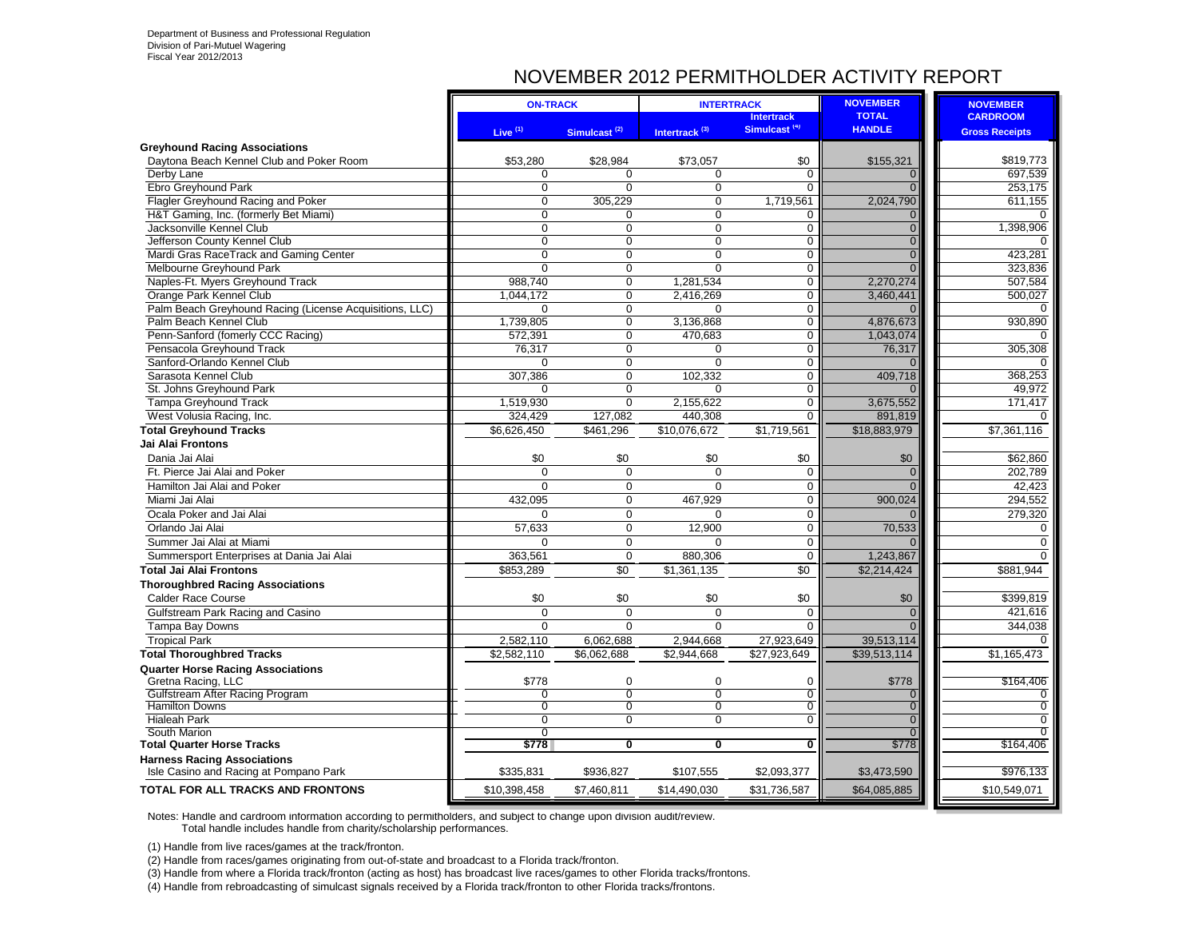### NOVEMBER 2012 PERMITHOLDER ACTIVITY REPORT

|                                                                              | <b>ON-TRACK</b>     |                          | <b>INTERTRACK</b>         |                          | <b>NOVEMBER</b>        | <b>NOVEMBER</b>       |
|------------------------------------------------------------------------------|---------------------|--------------------------|---------------------------|--------------------------|------------------------|-----------------------|
|                                                                              |                     |                          |                           | <b>Intertrack</b>        | <b>TOTAL</b>           | <b>CARDROOM</b>       |
|                                                                              | Live <sup>(1)</sup> | Simulcast <sup>(2)</sup> | Intertrack <sup>(3)</sup> | Simulcast <sup>(4)</sup> | <b>HANDLE</b>          | <b>Gross Receipts</b> |
| <b>Greyhound Racing Associations</b>                                         |                     |                          |                           |                          |                        |                       |
| Daytona Beach Kennel Club and Poker Room                                     | \$53,280            | \$28,984                 | \$73,057                  | \$0                      | \$155,321              | \$819,773             |
| Derby Lane                                                                   | $\Omega$            | $\Omega$                 | 0                         | $\Omega$                 | $\mathbf{0}$           | 697,539               |
| Ebro Greyhound Park                                                          | $\Omega$            | $\Omega$                 | $\Omega$                  | $\Omega$                 | $\Omega$               | 253.175               |
| Flagler Greyhound Racing and Poker                                           | $\mathbf 0$         | 305,229                  | 0                         | 1,719,561                | 2,024,790              | 611,155               |
| H&T Gaming, Inc. (formerly Bet Miami)                                        | $\overline{0}$      | $\Omega$                 | $\overline{0}$            | 0                        | $\mathbf{0}$           | $\Omega$              |
| Jacksonville Kennel Club                                                     | $\Omega$            | $\Omega$                 | $\Omega$                  | $\mathbf 0$              | $\overline{0}$         | 1,398,906             |
| Jefferson County Kennel Club                                                 | $\Omega$            | $\Omega$                 | 0                         | $\mathbf 0$              | $\overline{0}$         | O                     |
| Mardi Gras RaceTrack and Gaming Center                                       | $\Omega$            | $\Omega$                 | $\Omega$                  | $\mathbf 0$              | $\overline{0}$         | 423,281               |
| Melbourne Greyhound Park                                                     | $\Omega$            | $\Omega$                 | $\Omega$                  | $\Omega$                 | $\Omega$               | 323,836               |
| Naples-Ft. Myers Greyhound Track                                             | 988.740             | $\Omega$                 | 1,281,534                 | $\mathbf 0$              | 2.270.274              | 507,584               |
| Orange Park Kennel Club                                                      | 1,044,172           | $\mathbf 0$              | 2,416,269                 | $\mathbf 0$              | 3,460,441              | 500,027               |
| Palm Beach Greyhound Racing (License Acquisitions, LLC)                      | $\Omega$            | $\Omega$                 | $\Omega$                  | $\Omega$                 | $\Omega$               | $\Omega$              |
| Palm Beach Kennel Club                                                       | 1,739,805           | 0                        | 3,136,868                 | 0                        | 4,876,673              | 930,890               |
| Penn-Sanford (fomerly CCC Racing)                                            | 572,391             | 0                        | 470,683                   | 0                        | 1,043,074              | $\Omega$              |
| Pensacola Greyhound Track                                                    | 76,317              | 0                        | $\Omega$                  | 0                        | 76,317                 | 305,308               |
| Sanford-Orlando Kennel Club                                                  | $\mathbf 0$         | $\mathbf 0$              | 0                         | 0                        | $\Omega$               | $\Omega$              |
| Sarasota Kennel Club                                                         | 307,386             | $\mathbf 0$              | 102,332                   | $\overline{0}$           | 409,718                | 368,253               |
| St. Johns Greyhound Park                                                     | $\Omega$            | $\mathbf 0$<br>$\Omega$  | $\Omega$                  | 0<br>0                   | $\Omega$               | 49,972<br>171,417     |
| Tampa Greyhound Track                                                        | 1,519,930           |                          | 2,155,622<br>440,308      | 0                        | 3,675,552              | 0                     |
| West Volusia Racing, Inc.                                                    | 324,429             | 127,082                  |                           |                          | 891,819                |                       |
| <b>Total Greyhound Tracks</b>                                                | \$6,626,450         | \$461,296                | \$10,076,672              | \$1,719,561              | \$18,883,979           | \$7,361,116           |
| Jai Alai Frontons                                                            |                     |                          |                           |                          |                        |                       |
| Dania Jai Alai                                                               | \$0                 | \$0                      | \$0                       | \$0                      | \$0                    | \$62,860              |
| Ft. Pierce Jai Alai and Poker                                                | $\Omega$            | $\Omega$                 | $\Omega$                  | $\mathbf 0$              | $\overline{0}$         | 202,789               |
| Hamilton Jai Alai and Poker                                                  | $\Omega$            | $\Omega$                 | $\Omega$                  | $\mathbf 0$              | $\Omega$               | 42,423                |
| Miami Jai Alai                                                               | 432.095             | $\Omega$                 | 467,929                   | 0                        | 900.024                | 294,552               |
| Ocala Poker and Jai Alai                                                     | $\Omega$            | $\Omega$                 | $\Omega$                  | $\mathbf 0$              |                        | 279,320               |
| Orlando Jai Alai                                                             | 57,633              | $\Omega$                 | 12,900                    | 0                        | 70,533                 | $\mathbf 0$           |
| Summer Jai Alai at Miami                                                     | $\Omega$            | $\Omega$                 | $\Omega$                  | $\mathbf 0$              | $\Omega$               | $\pmb{0}$             |
| Summersport Enterprises at Dania Jai Alai                                    | 363,561             | $\Omega$                 | 880,306                   | $\Omega$                 | 1,243,867              | $\Omega$              |
| <b>Total Jai Alai Frontons</b>                                               | \$853,289           | $\overline{50}$          | \$1,361,135               | $\overline{50}$          | $\overline{2,214,424}$ | \$881,944             |
| <b>Thoroughbred Racing Associations</b>                                      |                     |                          |                           |                          |                        |                       |
| <b>Calder Race Course</b>                                                    | \$0                 | \$0                      | \$0                       | \$0                      | \$0                    | \$399,819             |
| Gulfstream Park Racing and Casino                                            | $\Omega$            | $\Omega$                 | 0                         | $\mathbf 0$              | $\mathbf{0}$           | 421,616               |
| Tampa Bay Downs                                                              | $\Omega$            | $\Omega$                 | 0                         | $\Omega$                 | $\overline{0}$         | 344,038               |
| <b>Tropical Park</b>                                                         | 2,582,110           | 6,062,688                | 2,944,668                 | 27,923,649               | 39,513,114             | $\Omega$              |
| <b>Total Thoroughbred Tracks</b>                                             | \$2,582,110         | \$6,062,688              | \$2,944,668               | \$27,923,649             | \$39,513,114           | \$1,165,473           |
| <b>Quarter Horse Racing Associations</b>                                     |                     |                          |                           |                          |                        |                       |
| Gretna Racing, LLC                                                           | \$778               | $\Omega$                 | $\Omega$                  | $\Omega$                 | \$778                  | \$164,406             |
| Gulfstream After Racing Program                                              | 0                   | $\Omega$                 | $\overline{0}$            | $\mathbf 0$              | $\mathbf{0}$           | 0                     |
| <b>Hamilton Downs</b>                                                        | $\overline{0}$      | 0                        | $\overline{0}$            | 0                        | $\overline{0}$         | 0                     |
| <b>Hialeah Park</b>                                                          | $\overline{0}$      | $\overline{0}$           | $\overline{0}$            | $\overline{0}$           | $\Omega$               | $\Omega$              |
| South Marion                                                                 | 0                   | $\overline{\mathbf{0}}$  | $\overline{\mathbf{0}}$   | $\overline{\mathbf{0}}$  | $\Omega$               | 0                     |
| <b>Total Quarter Horse Tracks</b>                                            | \$778               |                          |                           |                          | \$778                  | \$164,406             |
| <b>Harness Racing Associations</b><br>Isle Casino and Racing at Pompano Park | \$335,831           | \$936.827                | \$107,555                 | \$2,093,377              | \$3,473,590            | \$976,133             |
| TOTAL FOR ALL TRACKS AND FRONTONS                                            | \$10,398,458        | \$7,460,811              | \$14,490,030              | \$31,736,587             | \$64,085,885           | \$10,549,071          |
|                                                                              |                     |                          |                           |                          |                        |                       |

Notes: Handle and cardroom information according to permitholders, and subject to change upon division audit/review. Total handle includes handle from charity/scholarship performances.

(1) Handle from live races/games at the track/fronton.

(2) Handle from races/games originating from out-of-state and broadcast to a Florida track/fronton.

(3) Handle from where a Florida track/fronton (acting as host) has broadcast live races/games to other Florida tracks/frontons.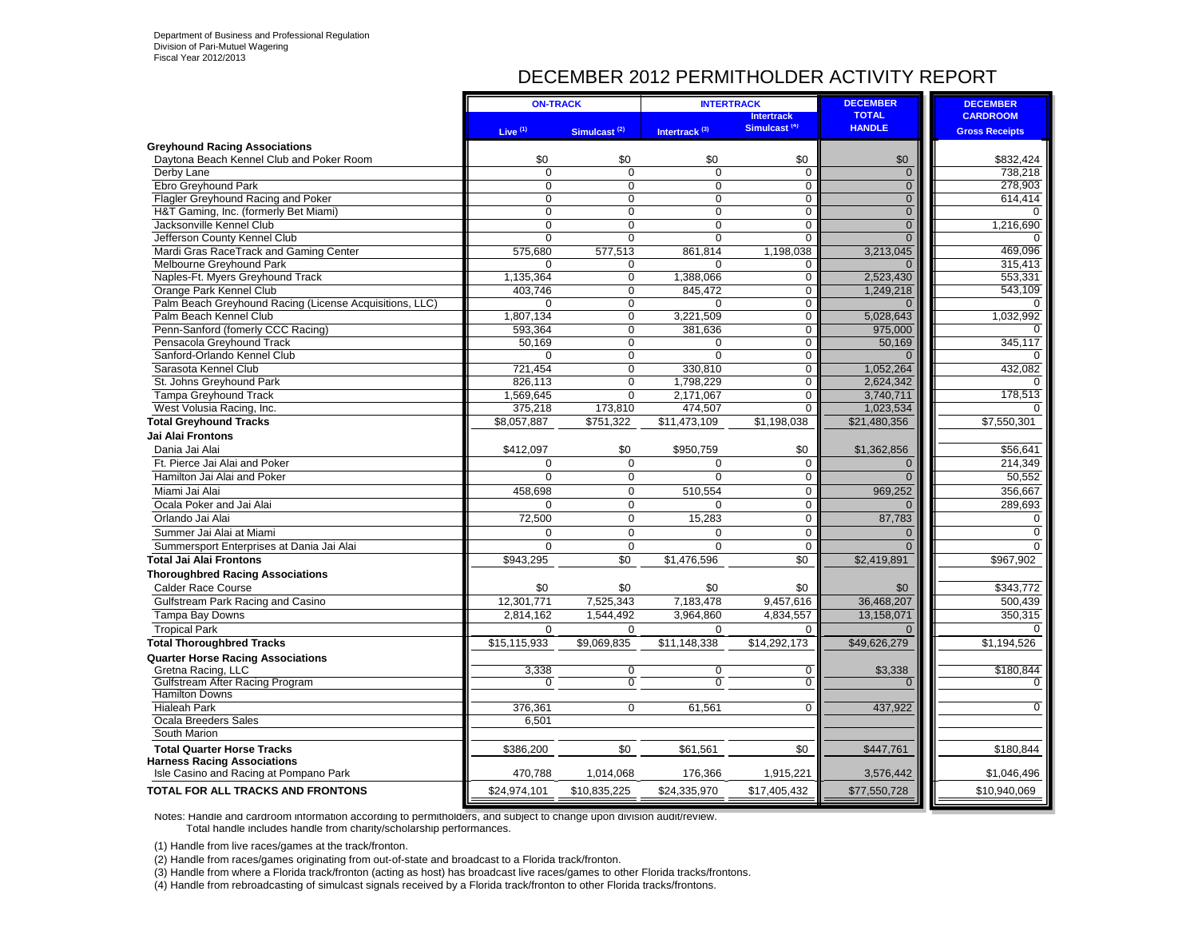### DECEMBER 2012 PERMITHOLDER ACTIVITY REPORT

|                                                         | <b>ON-TRACK</b> |                          | <b>INTERTRACK</b>         |                          | <b>DECEMBER</b> | <b>DECEMBER</b>       |
|---------------------------------------------------------|-----------------|--------------------------|---------------------------|--------------------------|-----------------|-----------------------|
|                                                         |                 |                          |                           | <b>Intertrack</b>        | <b>TOTAL</b>    | <b>CARDROOM</b>       |
|                                                         | Live $(1)$      | Simulcast <sup>(2)</sup> | Intertrack <sup>(3)</sup> | Simulcast <sup>(4)</sup> | <b>HANDLE</b>   | <b>Gross Receipts</b> |
| <b>Greyhound Racing Associations</b>                    |                 |                          |                           |                          |                 |                       |
| Daytona Beach Kennel Club and Poker Room                | \$0             | \$0                      | \$0                       | \$0                      | \$0             | \$832,424             |
| Derby Lane                                              | $\Omega$        | $\Omega$                 | $\Omega$                  | $\mathbf 0$              | $\mathbf 0$     | 738,218               |
| Ebro Greyhound Park                                     | $\Omega$        | $\mathbf 0$              | $\Omega$                  | $\mathbf 0$              | $\overline{0}$  | 278.903               |
| Flagler Greyhound Racing and Poker                      | $\Omega$        | $\overline{0}$           | $\Omega$                  | $\mathbf 0$              | $\overline{0}$  | 614,414               |
| H&T Gaming, Inc. (formerly Bet Miami)                   | $\Omega$        | $\Omega$                 | $\Omega$                  | $\mathbf 0$              | $\overline{0}$  | $\Omega$              |
| Jacksonville Kennel Club                                | $\Omega$        | $\mathbf 0$              | $\Omega$                  | $\overline{0}$           | $\overline{0}$  | 1,216,690             |
| Jefferson County Kennel Club                            | $\Omega$        | $\Omega$                 | $\Omega$                  | $\mathbf 0$              | $\overline{0}$  | $\Omega$              |
| Mardi Gras RaceTrack and Gaming Center                  | 575,680         | 577,513                  | 861,814                   | 1,198,038                | 3,213,045       | 469,096               |
| Melbourne Greyhound Park                                | $\Omega$        | 0                        | $\Omega$                  | $\mathbf 0$              |                 | 315.413               |
| Naples-Ft. Myers Greyhound Track                        | 1,135,364       | $\overline{0}$           | 1,388,066                 | $\mathbf 0$              | 2,523,430       | 553,331               |
| Orange Park Kennel Club                                 | 403.746         | $\mathbf 0$              | 845,472                   | $\mathbf 0$              | 1,249,218       | 543,109               |
| Palm Beach Greyhound Racing (License Acquisitions, LLC) | $\Omega$        | $\overline{0}$           | $\Omega$                  | $\mathbf 0$              | $\Omega$        | $\Omega$              |
| Palm Beach Kennel Club                                  | 1,807,134       | $\mathbf 0$              | 3,221,509                 | $\mathbf 0$              | 5,028,643       | 1,032,992             |
| Penn-Sanford (fomerly CCC Racing)                       | 593,364         | $\overline{0}$           | 381,636                   | $\overline{0}$           | 975,000         |                       |
| Pensacola Greyhound Track                               | 50.169          | $\overline{0}$           | $\Omega$                  | $\overline{0}$           | 50,169          | 345.117               |
| Sanford-Orlando Kennel Club                             | $\Omega$        | $\overline{0}$           | $\overline{0}$            | $\overline{0}$           | $\Omega$        | $\Omega$              |
| Sarasota Kennel Club                                    | 721.454         | $\overline{0}$           | 330.810                   | $\mathbf 0$              | 1,052,264       | 432,082               |
| St. Johns Greyhound Park                                | 826,113         | $\mathbf 0$              | 1,798,229                 | $\mathbf 0$              | 2,624,342       |                       |
| Tampa Greyhound Track                                   | 1,569,645       | $\overline{0}$           | 2,171,067                 | $\overline{0}$           | 3,740,711       | 178,513               |
| West Volusia Racing, Inc.                               | 375,218         | 173,810                  | 474,507                   | $\mathbf 0$              | 1,023,534       |                       |
| <b>Total Greyhound Tracks</b>                           | \$8,057,887     | \$751,322                | \$11,473,109              | \$1,198,038              | \$21,480,356    | \$7,550,301           |
| Jai Alai Frontons                                       |                 |                          |                           |                          |                 |                       |
| Dania Jai Alai                                          | \$412,097       | \$0                      | \$950,759                 | \$0                      | \$1,362,856     | \$56,641              |
| Ft. Pierce Jai Alai and Poker                           | $\Omega$        | $\Omega$                 | $\Omega$                  | $\Omega$                 | $\overline{0}$  | 214.349               |
| Hamilton Jai Alai and Poker                             | $\Omega$        | $\Omega$                 | $\Omega$                  | $\mathbf 0$              | $\Omega$        | 50,552                |
| Miami Jai Alai                                          | 458,698         | $\Omega$                 | 510,554                   | $\Omega$                 | 969,252         | 356,667               |
| Ocala Poker and Jai Alai                                | $\mathbf 0$     | $\mathbf 0$              | 0                         | $\mathbf 0$              | $\overline{0}$  | 289,693               |
|                                                         |                 | $\mathbf 0$              |                           | $\mathbf 0$              |                 | 0                     |
| Orlando Jai Alai                                        | 72,500          |                          | 15,283                    |                          | 87,783          |                       |
| Summer Jai Alai at Miami                                | $\mathbf 0$     | $\mathbf 0$              | 0                         | $\mathbf 0$              | $\overline{0}$  | $\mathbf 0$           |
| Summersport Enterprises at Dania Jai Alai               | $\mathbf 0$     | $\mathbf 0$              | $\Omega$                  | $\mathbf 0$              | $\overline{0}$  | $\mathbf 0$           |
| Total Jai Alai Frontons                                 | \$943,295       | \$0                      | \$1,476,596               | \$0                      | \$2,419,891     | \$967,902             |
| <b>Thoroughbred Racing Associations</b>                 |                 |                          |                           |                          |                 |                       |
| <b>Calder Race Course</b>                               | \$0             | \$0                      | \$0                       | \$0                      | \$0             | \$343,772             |
| Gulfstream Park Racing and Casino                       | 12,301,771      | 7,525,343                | 7,183,478                 | 9,457,616                | 36,468,207      | 500.439               |
| <b>Tampa Bay Downs</b>                                  | 2,814,162       | 1,544,492                | 3,964,860                 | 4,834,557                | 13,158,071      | 350,315               |
| <b>Tropical Park</b>                                    | $\mathbf 0$     | 0                        | 0                         | $\mathbf 0$              | $\Omega$        | $\Omega$              |
| <b>Total Thoroughbred Tracks</b>                        | \$15,115,933    | \$9,069,835              | \$11,148,338              | \$14,292,173             | \$49,626,279    | \$1,194,526           |
| <b>Quarter Horse Racing Associations</b>                |                 |                          |                           |                          |                 |                       |
| Gretna Racing, LLC                                      | 3,338           | $\overline{0}$           | $\overline{0}$            | $\overline{0}$           | \$3,338         | \$180.844             |
| Gulfstream After Racing Program                         | $\overline{0}$  | $\overline{0}$           | $\overline{0}$            | $\overline{0}$           | $\Omega$        | $\Omega$              |
| <b>Hamilton Downs</b>                                   |                 |                          |                           |                          |                 |                       |
| <b>Hialeah Park</b>                                     | 376,361         | $\Omega$                 | 61,561                    | $\Omega$                 | 437,922         | $\mathbf 0$           |
| Ocala Breeders Sales                                    | 6,501           |                          |                           |                          |                 |                       |
| South Marion                                            |                 |                          |                           |                          |                 |                       |
| <b>Total Quarter Horse Tracks</b>                       | \$386.200       | \$0                      | \$61,561                  | \$0                      | \$447,761       | \$180,844             |
| <b>Harness Racing Associations</b>                      |                 |                          |                           |                          |                 |                       |
| Isle Casino and Racing at Pompano Park                  | 470,788         | 1,014,068                | 176,366                   | 1,915,221                | 3,576,442       | \$1,046,496           |
| <b>TOTAL FOR ALL TRACKS AND FRONTONS</b>                | \$24,974,101    | \$10,835,225             | \$24,335,970              | \$17,405,432             | \$77,550,728    | \$10,940,069          |
|                                                         |                 |                          |                           |                          |                 |                       |

Notes: Handle and cardroom information according to permitholders, and subject to change upon division audit/review. Total handle includes handle from charity/scholarship performances.

(1) Handle from live races/games at the track/fronton.

(2) Handle from races/games originating from out-of-state and broadcast to a Florida track/fronton.

(3) Handle from where a Florida track/fronton (acting as host) has broadcast live races/games to other Florida tracks/frontons.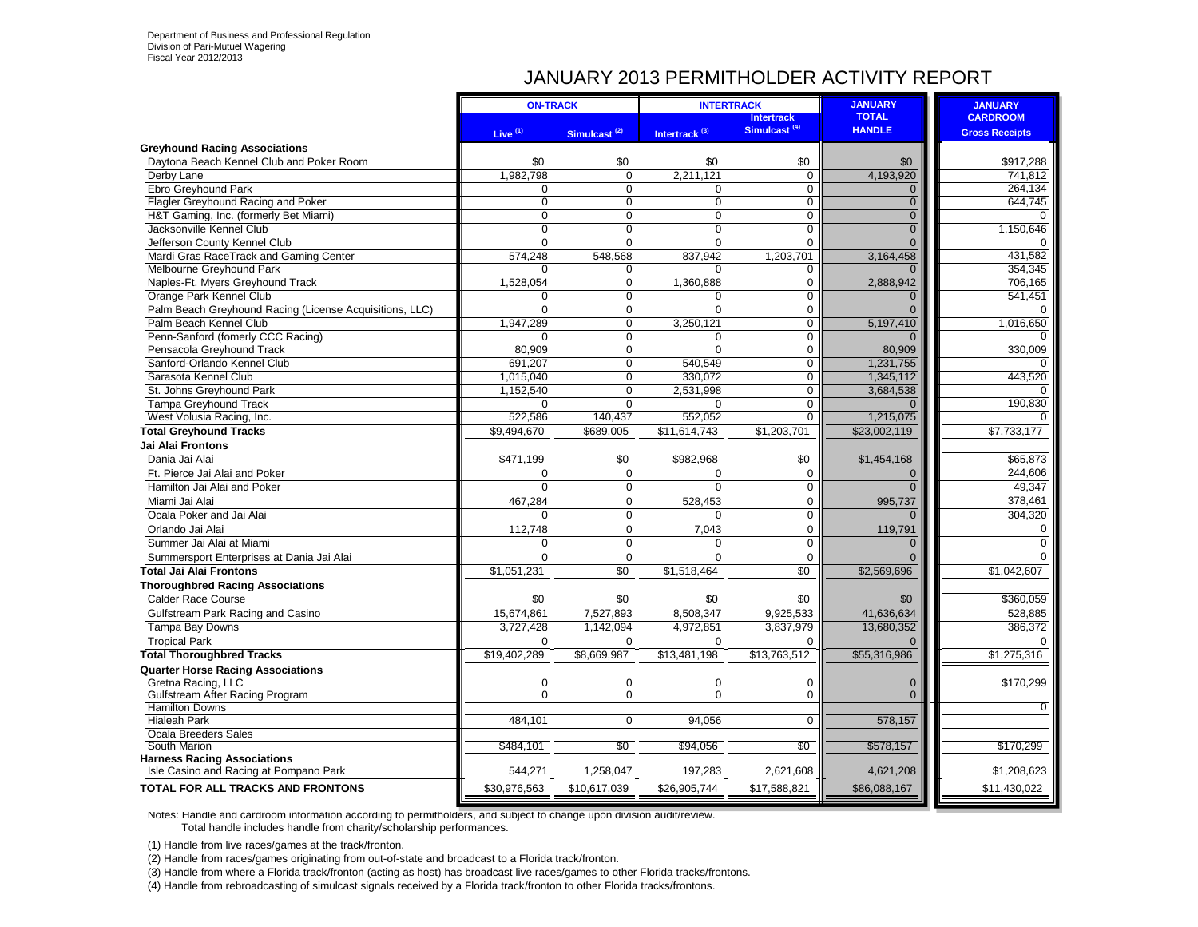### JANUARY 2013 PERMITHOLDER ACTIVITY REPORT

|                                                         | <b>ON-TRACK</b>     |                          | <b>INTERTRACK</b>         |                                               | <b>JANUARY</b>                | <b>JANUARY</b>        |
|---------------------------------------------------------|---------------------|--------------------------|---------------------------|-----------------------------------------------|-------------------------------|-----------------------|
|                                                         |                     |                          |                           | <b>Intertrack</b><br>Simulcast <sup>(4)</sup> | <b>TOTAL</b><br><b>HANDLE</b> | <b>CARDROOM</b>       |
|                                                         | Live <sup>(1)</sup> | Simulcast <sup>(2)</sup> | Intertrack <sup>(3)</sup> |                                               |                               | <b>Gross Receipts</b> |
| <b>Greyhound Racing Associations</b>                    |                     |                          |                           |                                               |                               |                       |
| Daytona Beach Kennel Club and Poker Room                | \$0                 | \$0                      | \$0                       | \$0                                           | \$0                           | \$917,288             |
| Derby Lane                                              | 1,982,798           | $\Omega$                 | 2,211,121                 | $\mathbf 0$                                   | 4,193,920                     | 741,812               |
| Ebro Greyhound Park                                     | $\Omega$            | $\mathbf 0$              | $\Omega$                  | $\mathbf 0$                                   | $\mathbf{0}$                  | 264,134               |
| Flagler Greyhound Racing and Poker                      | $\Omega$            | $\Omega$                 | $\Omega$                  | $\overline{0}$                                | $\overline{0}$                | 644,745               |
| H&T Gaming, Inc. (formerly Bet Miami)                   | $\Omega$            | $\Omega$                 | 0                         | $\mathbf 0$                                   | $\overline{0}$                | $\Omega$              |
| Jacksonville Kennel Club                                | $\Omega$            | $\Omega$                 | $\Omega$                  | $\mathbf 0$                                   | $\overline{0}$                | 1,150,646             |
| Jefferson County Kennel Club                            | $\Omega$            | $\Omega$                 | 0                         | $\overline{0}$                                | $\overline{0}$                | $\Omega$              |
| Mardi Gras RaceTrack and Gaming Center                  | 574,248             | 548,568                  | 837,942                   | 1,203,701                                     | 3,164,458                     | 431,582               |
| Melbourne Greyhound Park                                | $\Omega$            | $\Omega$                 | $\Omega$                  | $\mathbf 0$                                   | $\Omega$                      | 354,345               |
| Naples-Ft. Myers Greyhound Track                        | 1,528,054           | $\mathbf 0$              | 1,360,888                 | $\mathbf 0$                                   | 2,888,942                     | 706,165               |
| Orange Park Kennel Club                                 | $\Omega$            | $\mathbf 0$              | 0                         | 0                                             | $\mathbf{0}$                  | 541,451               |
| Palm Beach Greyhound Racing (License Acquisitions, LLC) | $\Omega$            | $\mathbf 0$              | $\Omega$                  | $\mathsf 0$                                   | $\Omega$                      | $\Omega$              |
| Palm Beach Kennel Club                                  | 1,947,289           | $\mathbf 0$              | 3,250,121                 | $\mathbf 0$                                   | 5,197,410                     | 1,016,650             |
| Penn-Sanford (fomerly CCC Racing)                       | $\Omega$            | $\mathbf 0$              | 0                         | $\mathbf 0$                                   | $\Omega$                      | 0                     |
| Pensacola Greyhound Track                               | 80,909              | $\mathbf 0$              | $\Omega$                  | $\mathbf 0$                                   | 80,909                        | 330,009               |
| Sanford-Orlando Kennel Club                             | 691.207             | $\Omega$                 | 540.549                   | $\mathbf 0$                                   | 1,231,755                     |                       |
| Sarasota Kennel Club                                    | 1,015,040           | $\mathbf 0$              | 330,072                   | $\mathbf 0$                                   | 1,345,112                     | 443,520               |
| St. Johns Greyhound Park                                | 1,152,540           | $\mathbf 0$              | 2,531,998                 | $\pmb{0}$                                     | 3,684,538                     |                       |
| <b>Tampa Greyhound Track</b>                            | $\Omega$            | $\Omega$                 | 0                         | 0                                             | $\Omega$                      | 190,830               |
| West Volusia Racing, Inc.                               | 522,586             | 140,437                  | 552,052                   | 0                                             | 1,215,075                     |                       |
| <b>Total Greyhound Tracks</b>                           | \$9,494,670         | \$689,005                | \$11,614,743              | \$1,203,701                                   | \$23,002,119                  | \$7,733,177           |
| Jai Alai Frontons                                       |                     |                          |                           |                                               |                               |                       |
| Dania Jai Alai                                          | \$471,199           | \$0                      | \$982,968                 | \$0                                           | \$1,454,168                   | \$65,873              |
| Ft. Pierce Jai Alai and Poker                           | $\Omega$            | $\mathbf 0$              | $\Omega$                  | $\mathbf 0$                                   | $\mathbf{0}$                  | 244,606               |
| Hamilton Jai Alai and Poker                             | $\Omega$            | $\Omega$                 | $\Omega$                  | $\mathbf 0$                                   | $\Omega$                      | 49,347                |
| Miami Jai Alai                                          | 467,284             | $\Omega$                 | 528,453                   | $\mathbf 0$                                   | 995.737                       | 378,461               |
| Ocala Poker and Jai Alai                                | $\Omega$            | $\Omega$                 | $\Omega$                  | $\Omega$                                      |                               | 304,320               |
| Orlando Jai Alai                                        | 112,748             | $\Omega$                 | 7,043                     | $\mathbf 0$                                   | 119.791                       | $\Omega$              |
| Summer Jai Alai at Miami                                | $\Omega$            | $\Omega$                 | $\Omega$                  | $\mathbf 0$                                   | $\mathbf{0}$                  | $\Omega$              |
| Summersport Enterprises at Dania Jai Alai               | $\Omega$            | $\Omega$                 | $\Omega$                  | $\Omega$                                      | $\Omega$                      | $\Omega$              |
| Total Jai Alai Frontons                                 | \$1,051,231         | $\overline{50}$          | \$1,518,464               | \$0                                           | \$2,569,696                   | \$1,042,607           |
| <b>Thoroughbred Racing Associations</b>                 |                     |                          |                           |                                               |                               |                       |
| <b>Calder Race Course</b>                               | \$0                 | \$0                      | \$0                       | \$0                                           | \$0                           | \$360,059             |
| Gulfstream Park Racing and Casino                       | 15,674,861          | 7,527,893                | 8,508,347                 | 9,925,533                                     | 41,636,634                    | 528,885               |
| Tampa Bay Downs                                         | 3,727,428           | 1,142,094                | 4,972,851                 | 3,837,979                                     | 13,680,352                    | 386,372               |
| <b>Tropical Park</b>                                    | $\mathbf 0$         | $\mathbf 0$              | 0                         | $\mathbf 0$                                   | $\Omega$                      | $\Omega$              |
| <b>Total Thoroughbred Tracks</b>                        | \$19,402,289        | \$8,669,987              | \$13,481,198              | \$13,763,512                                  | \$55,316,986                  | \$1,275,316           |
|                                                         |                     |                          |                           |                                               |                               |                       |
| <b>Quarter Horse Racing Associations</b>                | $\mathbf 0$         | $\mathbf 0$              | 0                         |                                               |                               | \$170,299             |
| Gretna Racing, LLC<br>Gulfstream After Racing Program   | $\overline{0}$      | $\overline{0}$           | $\overline{0}$            | $\mathbf 0$<br>$\overline{0}$                 | $\mathbf 0$<br>$\overline{0}$ |                       |
| <b>Hamilton Downs</b>                                   |                     |                          |                           |                                               |                               | $\overline{0}$        |
| <b>Hialeah Park</b>                                     | 484,101             | $\mathbf 0$              | 94,056                    | $\mathbf 0$                                   | 578,157                       |                       |
| Ocala Breeders Sales                                    |                     |                          |                           |                                               |                               |                       |
| South Marion                                            | \$484,101           | \$0                      | \$94,056                  | \$0                                           | \$578,157                     | \$170,299             |
| <b>Harness Racing Associations</b>                      |                     |                          |                           |                                               |                               |                       |
| Isle Casino and Racing at Pompano Park                  | 544,271             | 1,258,047                | 197,283                   | 2,621,608                                     | 4,621,208                     | \$1,208,623           |
| TOTAL FOR ALL TRACKS AND FRONTONS                       | \$30,976,563        | \$10,617,039             | \$26,905,744              | \$17,588,821                                  | \$86,088,167                  | \$11,430,022          |
|                                                         |                     |                          |                           |                                               |                               |                       |

Notes: Handle and cardroom information according to permitholders, and subject to change upon division audit/review. Total handle includes handle from charity/scholarship performances.

(1) Handle from live races/games at the track/fronton.

(2) Handle from races/games originating from out-of-state and broadcast to a Florida track/fronton.

(3) Handle from where a Florida track/fronton (acting as host) has broadcast live races/games to other Florida tracks/frontons.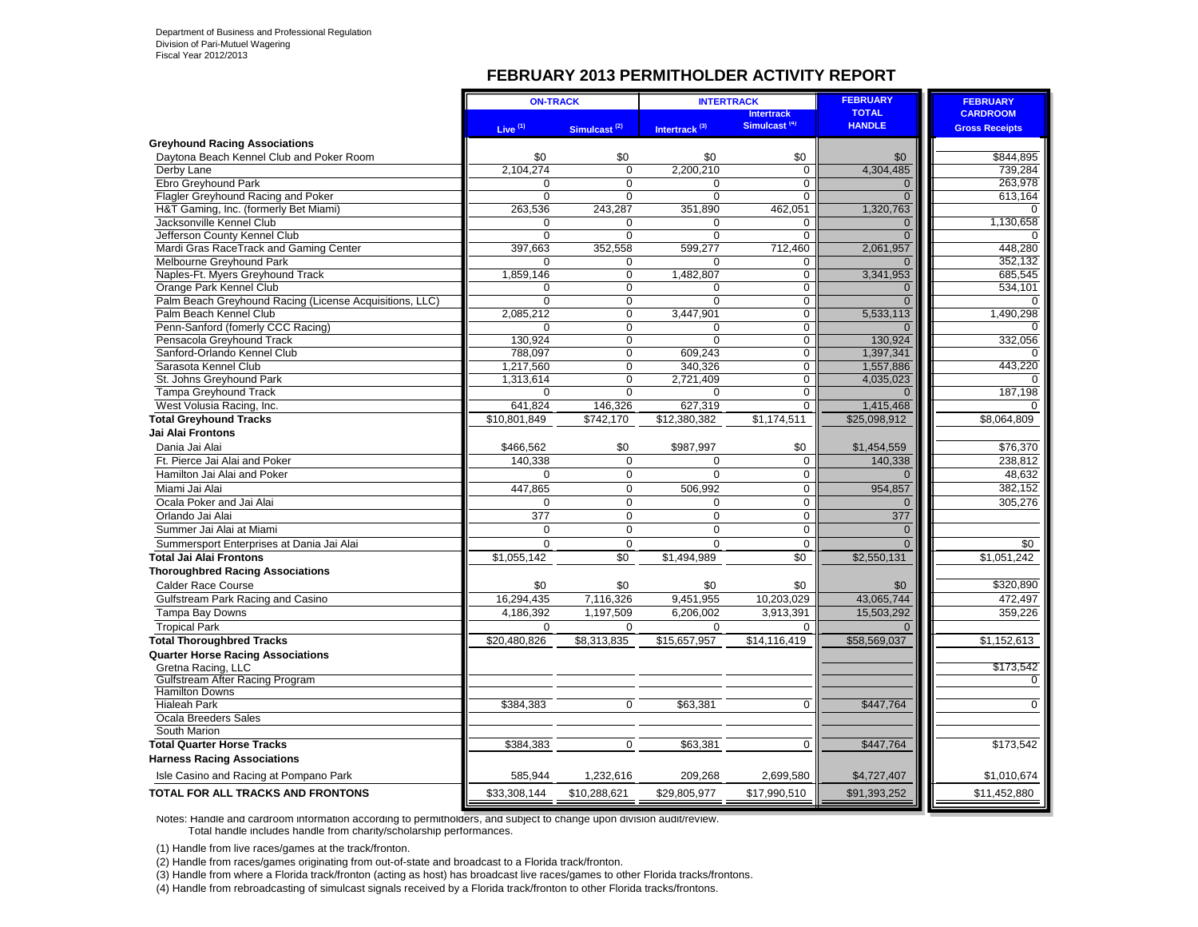#### **FEBRUARY 2013 PERMITHOLDER ACTIVITY REPORT**

|                                                          | <b>ON-TRACK</b>       |                            | <b>INTERTRACK</b>         |                            | <b>FEBRUARY</b> | <b>FEBRUARY</b>       |
|----------------------------------------------------------|-----------------------|----------------------------|---------------------------|----------------------------|-----------------|-----------------------|
|                                                          |                       |                            |                           | <b>Intertrack</b>          | <b>TOTAL</b>    | <b>CARDROOM</b>       |
|                                                          | Live $(1)$            | Simulcast <sup>(2)</sup>   | Intertrack <sup>(3)</sup> | Simulcast <sup>(4)</sup>   | <b>HANDLE</b>   | <b>Gross Receipts</b> |
| <b>Greyhound Racing Associations</b>                     |                       |                            |                           |                            |                 |                       |
| Daytona Beach Kennel Club and Poker Room                 | \$0                   | \$0                        | \$0                       | \$0                        | \$0             | \$844,895             |
| Derby Lane                                               | 2,104,274             | $\overline{0}$             | 2,200,210                 | $\overline{0}$             | 4,304,485       | 739,284               |
| <b>Ebro Greyhound Park</b>                               | 0                     | $\overline{0}$             | $\mathbf 0$               | $\overline{0}$             | $\Omega$        | 263,978               |
| Flagler Greyhound Racing and Poker                       | $\Omega$              | $\Omega$                   | $\Omega$                  | $\Omega$                   | $\Omega$        | 613,164               |
| H&T Gaming, Inc. (formerly Bet Miami)                    | 263,536               | 243,287                    | 351,890                   | 462,051                    | 1,320,763       | $\Omega$              |
| Jacksonville Kennel Club                                 | 0                     | $\mathbf 0$                | 0                         | $\mathbf 0$                | $\overline{0}$  | 1,130,658             |
| Jefferson County Kennel Club                             | $\mathbf 0$           | $\mathbf 0$                | $\Omega$                  | $\Omega$                   | $\Omega$        |                       |
| Mardi Gras RaceTrack and Gaming Center                   | 397,663               | 352,558                    | 599,277                   | 712,460                    | 2,061,957       | 448.280               |
| Melbourne Greyhound Park                                 | $\Omega$              | $\Omega$                   | $\Omega$                  | $\Omega$                   | $\Omega$        | 352.132               |
| Naples-Ft. Myers Greyhound Track                         | 1,859,146             | 0                          | 1,482,807                 | $\mathbf 0$                | 3,341,953       | 685,545               |
| Orange Park Kennel Club                                  | 0                     | $\mathbf 0$                | 0                         | $\mathbf 0$                | $\Omega$        | 534,101               |
| Palm Beach Greyhound Racing (License Acquisitions, LLC)  | $\Omega$              | $\mathbf 0$                | $\Omega$                  | $\mathbf 0$                | $\Omega$        | $\Omega$              |
| Palm Beach Kennel Club                                   | 2,085,212             | $\mathbf 0$                | 3,447,901                 | $\mathbf 0$                | 5,533,113       | 1,490,298             |
| Penn-Sanford (fomerly CCC Racing)                        | $\Omega$              | $\mathbf 0$                | $\Omega$                  | $\mathbf 0$                | $\Omega$        | $\Omega$              |
| Pensacola Greyhound Track                                | 130.924               | $\Omega$                   | $\Omega$                  | $\Omega$                   | 130.924         | 332.056               |
| Sanford-Orlando Kennel Club                              | 788,097               | 0                          | 609,243                   | $\mathbf 0$                | 1,397,341       |                       |
| Sarasota Kennel Club                                     | 1,217,560             | $\mathbf 0$                | 340,326                   | $\mathbf 0$                | 1,557,886       | 443,220               |
| St. Johns Greyhound Park<br><b>Tampa Greyhound Track</b> | 1,313,614<br>$\Omega$ | $\overline{0}$<br>$\Omega$ | 2,721,409<br>$\Omega$     | $\mathbf 0$<br>$\mathbf 0$ | 4,035,023       |                       |
|                                                          |                       |                            |                           | $\overline{0}$             |                 | 187,198               |
| West Volusia Racing, Inc.                                | 641,824               | 146,326                    | 627,319                   |                            | 1,415,468       |                       |
| <b>Total Greyhound Tracks</b>                            | \$10,801,849          | $\overline{$}742,170$      | \$12,380,382              | \$1,174,511                | \$25,098,912    | \$8,064,809           |
| <b>Jai Alai Frontons</b>                                 |                       |                            |                           |                            |                 |                       |
| Dania Jai Alai                                           | \$466,562             | \$0                        | \$987,997                 | \$0                        | \$1,454,559     | \$76,370              |
| Ft. Pierce Jai Alai and Poker                            | 140,338               | $\Omega$                   | $\Omega$                  | $\mathbf 0$                | 140,338         | 238,812               |
| Hamilton Jai Alai and Poker                              | 0                     | $\mathbf 0$                | $\mathbf 0$               | $\mathbf 0$                | $\Omega$        | 48,632                |
| Miami Jai Alai                                           | 447,865               | $\mathbf 0$                | 506,992                   | $\mathbf 0$                | 954,857         | 382,152               |
| Ocala Poker and Jai Alai                                 | $\Omega$              | $\mathbf 0$                | $\Omega$                  | $\mathbf 0$                | $\Omega$        | 305,276               |
| Orlando Jai Alai                                         | 377                   | $\mathbf 0$                | $\Omega$                  | $\mathbf 0$                | 377             |                       |
| Summer Jai Alai at Miami                                 | $\mathbf 0$           | 0                          | $\mathbf 0$               | $\pmb{0}$                  | $\mathbf 0$     |                       |
| Summersport Enterprises at Dania Jai Alai                | $\Omega$              | $\mathbf 0$                | $\Omega$                  | $\mathbf 0$                | $\overline{0}$  | \$0                   |
| <b>Total Jai Alai Frontons</b>                           | \$1,055,142           | $\overline{50}$            | \$1,494,989               | \$0                        | \$2,550,131     | \$1,051,242           |
| <b>Thoroughbred Racing Associations</b>                  |                       |                            |                           |                            |                 |                       |
| <b>Calder Race Course</b>                                | \$0                   | \$0                        | \$0                       | \$0                        | \$0             | \$320,890             |
| Gulfstream Park Racing and Casino                        | 16,294,435            | 7,116,326                  | 9,451,955                 | 10,203,029                 | 43,065,744      | 472,497               |
| <b>Tampa Bay Downs</b>                                   | 4,186,392             | 1,197,509                  | 6.206.002                 | 3.913.391                  | 15,503,292      | 359.226               |
| <b>Tropical Park</b>                                     | $\Omega$              | $\Omega$                   | $\Omega$                  | $\Omega$                   | $\Omega$        |                       |
| <b>Total Thoroughbred Tracks</b>                         | \$20,480,826          | \$8,313,835                | \$15,657,957              | \$14,116,419               | \$58,569,037    | \$1,152,613           |
| <b>Quarter Horse Racing Associations</b>                 |                       |                            |                           |                            |                 |                       |
| Gretna Racing, LLC                                       |                       |                            |                           |                            |                 | \$173,542             |
| Gulfstream After Racing Program                          |                       |                            |                           |                            |                 | $\Omega$              |
| <b>Hamilton Downs</b>                                    |                       |                            |                           |                            |                 |                       |
| <b>Hialeah Park</b>                                      | \$384,383             | $\mathbf 0$                | \$63,381                  | $\Omega$                   | \$447,764       | $\Omega$              |
| <b>Ocala Breeders Sales</b>                              |                       |                            |                           |                            |                 |                       |
| South Marion                                             |                       |                            |                           |                            |                 |                       |
| <b>Total Quarter Horse Tracks</b>                        | \$384,383             | $\overline{0}$             | \$63,381                  | $\Omega$                   | \$447,764       | \$173,542             |
| <b>Harness Racing Associations</b>                       |                       |                            |                           |                            |                 |                       |
| Isle Casino and Racing at Pompano Park                   | 585,944               | 1,232,616                  | 209,268                   | 2,699,580                  | \$4,727,407     | \$1,010,674           |
| TOTAL FOR ALL TRACKS AND FRONTONS                        | \$33,308,144          | \$10,288,621               | \$29,805,977              | \$17,990,510               | \$91,393,252    | \$11,452,880          |
|                                                          |                       |                            |                           |                            |                 |                       |

Notes: Handle and cardroom information according to permitholders, and subject to change upon division audit/review. Total handle includes handle from charity/scholarship performances.

(1) Handle from live races/games at the track/fronton.

(2) Handle from races/games originating from out-of-state and broadcast to a Florida track/fronton.

(3) Handle from where a Florida track/fronton (acting as host) has broadcast live races/games to other Florida tracks/frontons.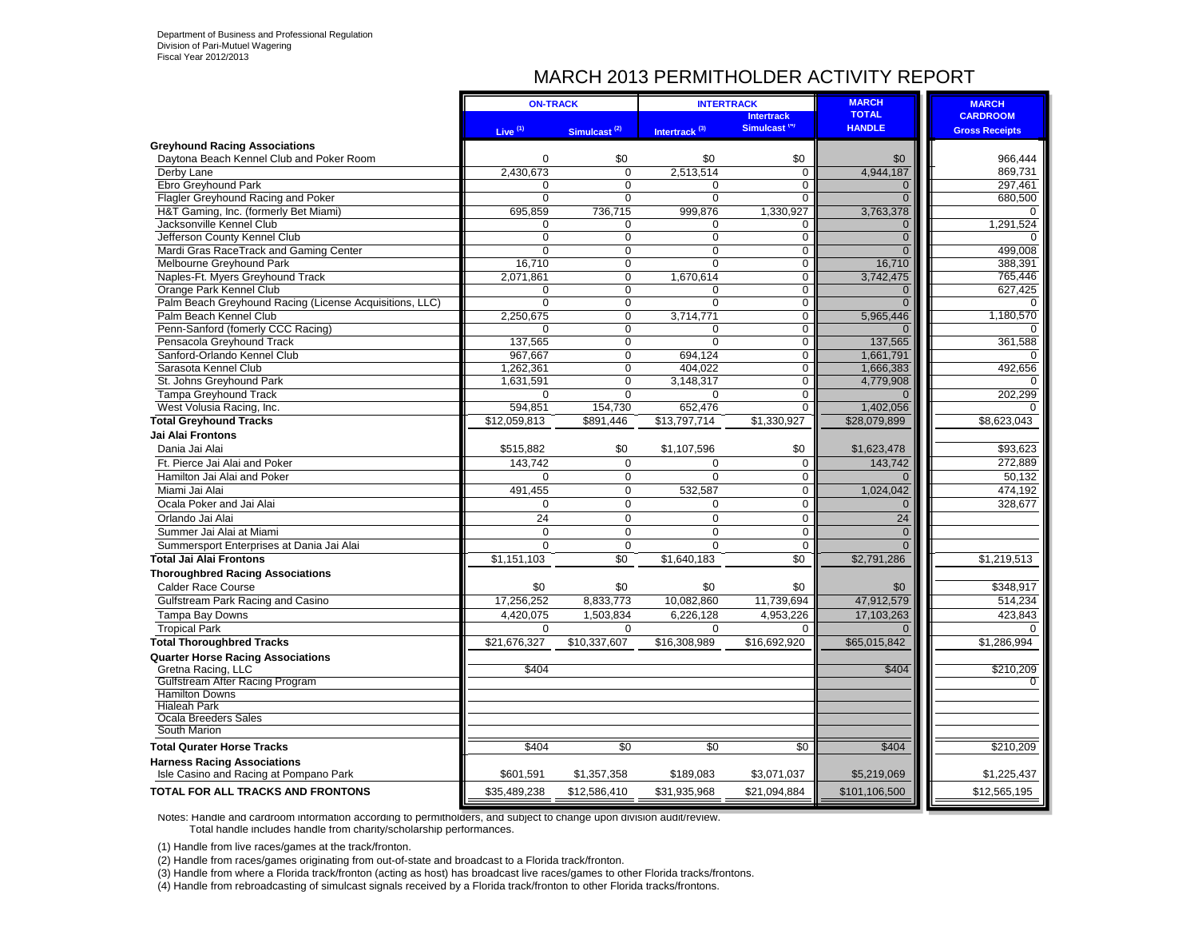### MARCH 2013 PERMITHOLDER ACTIVITY REPORT

| Simulcast <sup>(4)</sup><br><b>HANDLE</b><br>Live $(1)$<br>Simulcast <sup>(2)</sup><br>Intertrack <sup>(3)</sup><br><b>Gross Receipts</b><br><b>Greyhound Racing Associations</b><br>Daytona Beach Kennel Club and Poker Room<br>$\Omega$<br>\$0<br>\$0<br>\$0<br>966.444<br>\$0<br>2,430,673<br>2,513,514<br>4,944,187<br>Derby Lane<br>0<br>$\mathbf 0$<br>869,731<br>Ebro Greyhound Park<br>$\Omega$<br>$\mathbf 0$<br>297,461<br>0<br>0<br>$\mathbf{0}$<br>Flagler Greyhound Racing and Poker<br>$\mathbf 0$<br>$\mathbf 0$<br>$\Omega$<br>$\Omega$<br>$\mathbf 0$<br>680,500<br>H&T Gaming, Inc. (formerly Bet Miami)<br>695,859<br>736,715<br>999,876<br>1,330,927<br>3,763,378<br>Jacksonville Kennel Club<br>1,291,524<br>$\Omega$<br>$\Omega$<br>$\Omega$<br>$\mathbf 0$<br>$\overline{0}$<br>Jefferson County Kennel Club<br>$\mathbf 0$<br>0<br>$\mathbf 0$<br>$\mathbf 0$<br>$\overline{0}$<br>Mardi Gras RaceTrack and Gaming Center<br>$\overline{0}$<br>$\Omega$<br>$\Omega$<br>$\mathbf 0$<br>$\Omega$<br>499,008<br>Melbourne Greyhound Park<br>16.710<br>$\Omega$<br>$\Omega$<br>$\mathbf 0$<br>16.710<br>388.391<br>3,742,475<br>Naples-Ft. Myers Greyhound Track<br>2,071,861<br>$\mathbf{0}$<br>1,670,614<br>0<br>765,446<br>Orange Park Kennel Club<br>$\Omega$<br>$\Omega$<br>$\mathbf 0$<br>$\mathbf 0$<br>627,425<br>$\mathbf{0}$<br>Palm Beach Greyhound Racing (License Acquisitions, LLC)<br>$\Omega$<br>$\Omega$<br>$\Omega$<br>$\Omega$<br>0<br>Palm Beach Kennel Club<br>2,250,675<br>0<br>5,965,446<br>3,714,771<br>$\mathbf 0$<br>1,180,570<br>$\overline{0}$<br>Penn-Sanford (fomerly CCC Racing)<br>$\overline{0}$<br>$\Omega$<br>$\Omega$<br>$\Omega$<br>Pensacola Greyhound Track<br>$\overline{0}$<br>$\overline{0}$<br>137,565<br>137,565<br>0<br>361,588<br>Sanford-Orlando Kennel Club<br>967,667<br>$\Omega$<br>694,124<br>$\mathbf 0$<br>1,661,791<br>492,656<br>Sarasota Kennel Club<br>1,262,361<br>$\Omega$<br>404,022<br>$\mathbf 0$<br>1,666,383<br>St. Johns Greyhound Park<br>1,631,591<br>$\Omega$<br>3,148,317<br>$\mathbf 0$<br>4,779,908<br>$\Omega$<br>202,299<br><b>Tampa Greyhound Track</b><br>$\Omega$<br>$\Omega$<br>$\Omega$<br>$\mathbf 0$<br>$\Omega$<br>154,730<br>652,476<br>1,402,056<br>West Volusia Racing, Inc.<br>594.851<br>$\Omega$<br><b>Total Greyhound Tracks</b><br>$\overline{$12,059,813}$<br>\$891.446<br>\$13.797.714<br>\$1,330,927<br>\$28,079,899<br>\$8,623,043<br><b>Jai Alai Frontons</b><br>Dania Jai Alai<br>\$0<br>\$93,623<br>\$515,882<br>\$0<br>\$1,107,596<br>\$1,623,478<br>Ft. Pierce Jai Alai and Poker<br>143,742<br>143,742<br>272,889<br>$\Omega$<br>$\Omega$<br>$\mathbf 0$<br>$\Omega$<br>50,132<br>Hamilton Jai Alai and Poker<br>$\Omega$<br>$\mathbf 0$<br>0<br>$\overline{0}$<br>$\Omega$<br>532,587<br>$\mathbf 0$<br>1,024,042<br>474.192<br>Miami Jai Alai<br>491,455<br>Ocala Poker and Jai Alai<br>$\mathbf 0$<br>$\mathbf{0}$<br>$\mathbf 0$<br>$\mathbf 0$<br>328,677<br>$\mathbf{0}$<br>Orlando Jai Alai<br>24<br>0<br>$\mathbf 0$<br>$\pmb{0}$<br>24<br>Summer Jai Alai at Miami<br>$\mathbf 0$<br>0<br>$\Omega$<br>0<br>$\overline{0}$<br>Summersport Enterprises at Dania Jai Alai<br>$\Omega$<br>$\Omega$<br>$\mathbf 0$<br>$\mathbf 0$<br>$\Omega$<br><b>Total Jai Alai Frontons</b><br>\$0<br>\$0<br>\$1,151,103<br>\$1,640,183<br>\$2,791,286<br>\$1,219,513<br><b>Thoroughbred Racing Associations</b><br>\$348.917<br><b>Calder Race Course</b><br>\$0<br>\$0<br>\$0<br>\$0<br>\$0<br>514,234<br>Gulfstream Park Racing and Casino<br>17,256,252<br>47,912,579<br>8,833,773<br>10,082,860<br>11,739,694<br>Tampa Bay Downs<br>4,953,226<br>17,103,263<br>423,843<br>4,420,075<br>1.503.834<br>6,226,128<br><b>Tropical Park</b><br>0<br>$\Omega$<br>$\Omega$<br>$\Omega$<br>$\Omega$<br>$\Omega$<br><b>Total Thoroughbred Tracks</b><br>\$10,337,607<br>\$16,308,989<br>\$65,015,842<br>\$21,676,327<br>\$16,692,920<br>\$1,286,994<br><b>Quarter Horse Racing Associations</b><br>Gretna Racing, LLC<br>\$404<br>\$210,209<br>\$404<br>Gulfstream After Racing Program<br>$\Omega$<br><b>Hamilton Downs</b><br><b>Hialeah Park</b><br><b>Ocala Breeders Sales</b><br>South Marion<br>\$0<br><b>Total Qurater Horse Tracks</b><br>\$404<br>\$0<br>$\overline{50}$<br>\$404<br>\$210,209<br><b>Harness Racing Associations</b><br>\$1,225,437<br>Isle Casino and Racing at Pompano Park<br>\$601,591<br>\$1,357,358<br>\$189,083<br>\$3,071,037<br>\$5,219,069<br>\$35,489,238<br>\$101,106,500<br>\$12,565,195<br>\$12,586,410<br>\$31,935,968<br>\$21,094,884 |                                   | <b>ON-TRACK</b> | <b>INTERTRACK</b> |                   | <b>MARCH</b> | <b>MARCH</b>    |
|------------------------------------------------------------------------------------------------------------------------------------------------------------------------------------------------------------------------------------------------------------------------------------------------------------------------------------------------------------------------------------------------------------------------------------------------------------------------------------------------------------------------------------------------------------------------------------------------------------------------------------------------------------------------------------------------------------------------------------------------------------------------------------------------------------------------------------------------------------------------------------------------------------------------------------------------------------------------------------------------------------------------------------------------------------------------------------------------------------------------------------------------------------------------------------------------------------------------------------------------------------------------------------------------------------------------------------------------------------------------------------------------------------------------------------------------------------------------------------------------------------------------------------------------------------------------------------------------------------------------------------------------------------------------------------------------------------------------------------------------------------------------------------------------------------------------------------------------------------------------------------------------------------------------------------------------------------------------------------------------------------------------------------------------------------------------------------------------------------------------------------------------------------------------------------------------------------------------------------------------------------------------------------------------------------------------------------------------------------------------------------------------------------------------------------------------------------------------------------------------------------------------------------------------------------------------------------------------------------------------------------------------------------------------------------------------------------------------------------------------------------------------------------------------------------------------------------------------------------------------------------------------------------------------------------------------------------------------------------------------------------------------------------------------------------------------------------------------------------------------------------------------------------------------------------------------------------------------------------------------------------------------------------------------------------------------------------------------------------------------------------------------------------------------------------------------------------------------------------------------------------------------------------------------------------------------------------------------------------------------------------------------------------------------------------------------------------------------------------------------------------------------------------------------------------------------------------------------------------------------------------------------------------------------------------------------------------------------------------------------------------------------------------------------------------------------------------------------------------------------------------------------------------------------------------------------------------------------------------------------------------------------------------------------------------------------------------------------------------------------------------------------------------------------------------------------------------------------------------------------------------------------------------------------------------------------------------------|-----------------------------------|-----------------|-------------------|-------------------|--------------|-----------------|
|                                                                                                                                                                                                                                                                                                                                                                                                                                                                                                                                                                                                                                                                                                                                                                                                                                                                                                                                                                                                                                                                                                                                                                                                                                                                                                                                                                                                                                                                                                                                                                                                                                                                                                                                                                                                                                                                                                                                                                                                                                                                                                                                                                                                                                                                                                                                                                                                                                                                                                                                                                                                                                                                                                                                                                                                                                                                                                                                                                                                                                                                                                                                                                                                                                                                                                                                                                                                                                                                                                                                                                                                                                                                                                                                                                                                                                                                                                                                                                                                                                                                                                                                                                                                                                                                                                                                                                                                                                                                                                                                                                                          |                                   |                 |                   | <b>Intertrack</b> | <b>TOTAL</b> | <b>CARDROOM</b> |
|                                                                                                                                                                                                                                                                                                                                                                                                                                                                                                                                                                                                                                                                                                                                                                                                                                                                                                                                                                                                                                                                                                                                                                                                                                                                                                                                                                                                                                                                                                                                                                                                                                                                                                                                                                                                                                                                                                                                                                                                                                                                                                                                                                                                                                                                                                                                                                                                                                                                                                                                                                                                                                                                                                                                                                                                                                                                                                                                                                                                                                                                                                                                                                                                                                                                                                                                                                                                                                                                                                                                                                                                                                                                                                                                                                                                                                                                                                                                                                                                                                                                                                                                                                                                                                                                                                                                                                                                                                                                                                                                                                                          |                                   |                 |                   |                   |              |                 |
|                                                                                                                                                                                                                                                                                                                                                                                                                                                                                                                                                                                                                                                                                                                                                                                                                                                                                                                                                                                                                                                                                                                                                                                                                                                                                                                                                                                                                                                                                                                                                                                                                                                                                                                                                                                                                                                                                                                                                                                                                                                                                                                                                                                                                                                                                                                                                                                                                                                                                                                                                                                                                                                                                                                                                                                                                                                                                                                                                                                                                                                                                                                                                                                                                                                                                                                                                                                                                                                                                                                                                                                                                                                                                                                                                                                                                                                                                                                                                                                                                                                                                                                                                                                                                                                                                                                                                                                                                                                                                                                                                                                          |                                   |                 |                   |                   |              |                 |
|                                                                                                                                                                                                                                                                                                                                                                                                                                                                                                                                                                                                                                                                                                                                                                                                                                                                                                                                                                                                                                                                                                                                                                                                                                                                                                                                                                                                                                                                                                                                                                                                                                                                                                                                                                                                                                                                                                                                                                                                                                                                                                                                                                                                                                                                                                                                                                                                                                                                                                                                                                                                                                                                                                                                                                                                                                                                                                                                                                                                                                                                                                                                                                                                                                                                                                                                                                                                                                                                                                                                                                                                                                                                                                                                                                                                                                                                                                                                                                                                                                                                                                                                                                                                                                                                                                                                                                                                                                                                                                                                                                                          |                                   |                 |                   |                   |              |                 |
|                                                                                                                                                                                                                                                                                                                                                                                                                                                                                                                                                                                                                                                                                                                                                                                                                                                                                                                                                                                                                                                                                                                                                                                                                                                                                                                                                                                                                                                                                                                                                                                                                                                                                                                                                                                                                                                                                                                                                                                                                                                                                                                                                                                                                                                                                                                                                                                                                                                                                                                                                                                                                                                                                                                                                                                                                                                                                                                                                                                                                                                                                                                                                                                                                                                                                                                                                                                                                                                                                                                                                                                                                                                                                                                                                                                                                                                                                                                                                                                                                                                                                                                                                                                                                                                                                                                                                                                                                                                                                                                                                                                          |                                   |                 |                   |                   |              |                 |
|                                                                                                                                                                                                                                                                                                                                                                                                                                                                                                                                                                                                                                                                                                                                                                                                                                                                                                                                                                                                                                                                                                                                                                                                                                                                                                                                                                                                                                                                                                                                                                                                                                                                                                                                                                                                                                                                                                                                                                                                                                                                                                                                                                                                                                                                                                                                                                                                                                                                                                                                                                                                                                                                                                                                                                                                                                                                                                                                                                                                                                                                                                                                                                                                                                                                                                                                                                                                                                                                                                                                                                                                                                                                                                                                                                                                                                                                                                                                                                                                                                                                                                                                                                                                                                                                                                                                                                                                                                                                                                                                                                                          |                                   |                 |                   |                   |              |                 |
|                                                                                                                                                                                                                                                                                                                                                                                                                                                                                                                                                                                                                                                                                                                                                                                                                                                                                                                                                                                                                                                                                                                                                                                                                                                                                                                                                                                                                                                                                                                                                                                                                                                                                                                                                                                                                                                                                                                                                                                                                                                                                                                                                                                                                                                                                                                                                                                                                                                                                                                                                                                                                                                                                                                                                                                                                                                                                                                                                                                                                                                                                                                                                                                                                                                                                                                                                                                                                                                                                                                                                                                                                                                                                                                                                                                                                                                                                                                                                                                                                                                                                                                                                                                                                                                                                                                                                                                                                                                                                                                                                                                          |                                   |                 |                   |                   |              |                 |
|                                                                                                                                                                                                                                                                                                                                                                                                                                                                                                                                                                                                                                                                                                                                                                                                                                                                                                                                                                                                                                                                                                                                                                                                                                                                                                                                                                                                                                                                                                                                                                                                                                                                                                                                                                                                                                                                                                                                                                                                                                                                                                                                                                                                                                                                                                                                                                                                                                                                                                                                                                                                                                                                                                                                                                                                                                                                                                                                                                                                                                                                                                                                                                                                                                                                                                                                                                                                                                                                                                                                                                                                                                                                                                                                                                                                                                                                                                                                                                                                                                                                                                                                                                                                                                                                                                                                                                                                                                                                                                                                                                                          |                                   |                 |                   |                   |              |                 |
|                                                                                                                                                                                                                                                                                                                                                                                                                                                                                                                                                                                                                                                                                                                                                                                                                                                                                                                                                                                                                                                                                                                                                                                                                                                                                                                                                                                                                                                                                                                                                                                                                                                                                                                                                                                                                                                                                                                                                                                                                                                                                                                                                                                                                                                                                                                                                                                                                                                                                                                                                                                                                                                                                                                                                                                                                                                                                                                                                                                                                                                                                                                                                                                                                                                                                                                                                                                                                                                                                                                                                                                                                                                                                                                                                                                                                                                                                                                                                                                                                                                                                                                                                                                                                                                                                                                                                                                                                                                                                                                                                                                          |                                   |                 |                   |                   |              |                 |
|                                                                                                                                                                                                                                                                                                                                                                                                                                                                                                                                                                                                                                                                                                                                                                                                                                                                                                                                                                                                                                                                                                                                                                                                                                                                                                                                                                                                                                                                                                                                                                                                                                                                                                                                                                                                                                                                                                                                                                                                                                                                                                                                                                                                                                                                                                                                                                                                                                                                                                                                                                                                                                                                                                                                                                                                                                                                                                                                                                                                                                                                                                                                                                                                                                                                                                                                                                                                                                                                                                                                                                                                                                                                                                                                                                                                                                                                                                                                                                                                                                                                                                                                                                                                                                                                                                                                                                                                                                                                                                                                                                                          |                                   |                 |                   |                   |              |                 |
|                                                                                                                                                                                                                                                                                                                                                                                                                                                                                                                                                                                                                                                                                                                                                                                                                                                                                                                                                                                                                                                                                                                                                                                                                                                                                                                                                                                                                                                                                                                                                                                                                                                                                                                                                                                                                                                                                                                                                                                                                                                                                                                                                                                                                                                                                                                                                                                                                                                                                                                                                                                                                                                                                                                                                                                                                                                                                                                                                                                                                                                                                                                                                                                                                                                                                                                                                                                                                                                                                                                                                                                                                                                                                                                                                                                                                                                                                                                                                                                                                                                                                                                                                                                                                                                                                                                                                                                                                                                                                                                                                                                          |                                   |                 |                   |                   |              |                 |
|                                                                                                                                                                                                                                                                                                                                                                                                                                                                                                                                                                                                                                                                                                                                                                                                                                                                                                                                                                                                                                                                                                                                                                                                                                                                                                                                                                                                                                                                                                                                                                                                                                                                                                                                                                                                                                                                                                                                                                                                                                                                                                                                                                                                                                                                                                                                                                                                                                                                                                                                                                                                                                                                                                                                                                                                                                                                                                                                                                                                                                                                                                                                                                                                                                                                                                                                                                                                                                                                                                                                                                                                                                                                                                                                                                                                                                                                                                                                                                                                                                                                                                                                                                                                                                                                                                                                                                                                                                                                                                                                                                                          |                                   |                 |                   |                   |              |                 |
|                                                                                                                                                                                                                                                                                                                                                                                                                                                                                                                                                                                                                                                                                                                                                                                                                                                                                                                                                                                                                                                                                                                                                                                                                                                                                                                                                                                                                                                                                                                                                                                                                                                                                                                                                                                                                                                                                                                                                                                                                                                                                                                                                                                                                                                                                                                                                                                                                                                                                                                                                                                                                                                                                                                                                                                                                                                                                                                                                                                                                                                                                                                                                                                                                                                                                                                                                                                                                                                                                                                                                                                                                                                                                                                                                                                                                                                                                                                                                                                                                                                                                                                                                                                                                                                                                                                                                                                                                                                                                                                                                                                          |                                   |                 |                   |                   |              |                 |
|                                                                                                                                                                                                                                                                                                                                                                                                                                                                                                                                                                                                                                                                                                                                                                                                                                                                                                                                                                                                                                                                                                                                                                                                                                                                                                                                                                                                                                                                                                                                                                                                                                                                                                                                                                                                                                                                                                                                                                                                                                                                                                                                                                                                                                                                                                                                                                                                                                                                                                                                                                                                                                                                                                                                                                                                                                                                                                                                                                                                                                                                                                                                                                                                                                                                                                                                                                                                                                                                                                                                                                                                                                                                                                                                                                                                                                                                                                                                                                                                                                                                                                                                                                                                                                                                                                                                                                                                                                                                                                                                                                                          |                                   |                 |                   |                   |              |                 |
|                                                                                                                                                                                                                                                                                                                                                                                                                                                                                                                                                                                                                                                                                                                                                                                                                                                                                                                                                                                                                                                                                                                                                                                                                                                                                                                                                                                                                                                                                                                                                                                                                                                                                                                                                                                                                                                                                                                                                                                                                                                                                                                                                                                                                                                                                                                                                                                                                                                                                                                                                                                                                                                                                                                                                                                                                                                                                                                                                                                                                                                                                                                                                                                                                                                                                                                                                                                                                                                                                                                                                                                                                                                                                                                                                                                                                                                                                                                                                                                                                                                                                                                                                                                                                                                                                                                                                                                                                                                                                                                                                                                          |                                   |                 |                   |                   |              |                 |
|                                                                                                                                                                                                                                                                                                                                                                                                                                                                                                                                                                                                                                                                                                                                                                                                                                                                                                                                                                                                                                                                                                                                                                                                                                                                                                                                                                                                                                                                                                                                                                                                                                                                                                                                                                                                                                                                                                                                                                                                                                                                                                                                                                                                                                                                                                                                                                                                                                                                                                                                                                                                                                                                                                                                                                                                                                                                                                                                                                                                                                                                                                                                                                                                                                                                                                                                                                                                                                                                                                                                                                                                                                                                                                                                                                                                                                                                                                                                                                                                                                                                                                                                                                                                                                                                                                                                                                                                                                                                                                                                                                                          |                                   |                 |                   |                   |              |                 |
|                                                                                                                                                                                                                                                                                                                                                                                                                                                                                                                                                                                                                                                                                                                                                                                                                                                                                                                                                                                                                                                                                                                                                                                                                                                                                                                                                                                                                                                                                                                                                                                                                                                                                                                                                                                                                                                                                                                                                                                                                                                                                                                                                                                                                                                                                                                                                                                                                                                                                                                                                                                                                                                                                                                                                                                                                                                                                                                                                                                                                                                                                                                                                                                                                                                                                                                                                                                                                                                                                                                                                                                                                                                                                                                                                                                                                                                                                                                                                                                                                                                                                                                                                                                                                                                                                                                                                                                                                                                                                                                                                                                          |                                   |                 |                   |                   |              |                 |
|                                                                                                                                                                                                                                                                                                                                                                                                                                                                                                                                                                                                                                                                                                                                                                                                                                                                                                                                                                                                                                                                                                                                                                                                                                                                                                                                                                                                                                                                                                                                                                                                                                                                                                                                                                                                                                                                                                                                                                                                                                                                                                                                                                                                                                                                                                                                                                                                                                                                                                                                                                                                                                                                                                                                                                                                                                                                                                                                                                                                                                                                                                                                                                                                                                                                                                                                                                                                                                                                                                                                                                                                                                                                                                                                                                                                                                                                                                                                                                                                                                                                                                                                                                                                                                                                                                                                                                                                                                                                                                                                                                                          |                                   |                 |                   |                   |              |                 |
|                                                                                                                                                                                                                                                                                                                                                                                                                                                                                                                                                                                                                                                                                                                                                                                                                                                                                                                                                                                                                                                                                                                                                                                                                                                                                                                                                                                                                                                                                                                                                                                                                                                                                                                                                                                                                                                                                                                                                                                                                                                                                                                                                                                                                                                                                                                                                                                                                                                                                                                                                                                                                                                                                                                                                                                                                                                                                                                                                                                                                                                                                                                                                                                                                                                                                                                                                                                                                                                                                                                                                                                                                                                                                                                                                                                                                                                                                                                                                                                                                                                                                                                                                                                                                                                                                                                                                                                                                                                                                                                                                                                          |                                   |                 |                   |                   |              |                 |
|                                                                                                                                                                                                                                                                                                                                                                                                                                                                                                                                                                                                                                                                                                                                                                                                                                                                                                                                                                                                                                                                                                                                                                                                                                                                                                                                                                                                                                                                                                                                                                                                                                                                                                                                                                                                                                                                                                                                                                                                                                                                                                                                                                                                                                                                                                                                                                                                                                                                                                                                                                                                                                                                                                                                                                                                                                                                                                                                                                                                                                                                                                                                                                                                                                                                                                                                                                                                                                                                                                                                                                                                                                                                                                                                                                                                                                                                                                                                                                                                                                                                                                                                                                                                                                                                                                                                                                                                                                                                                                                                                                                          |                                   |                 |                   |                   |              |                 |
|                                                                                                                                                                                                                                                                                                                                                                                                                                                                                                                                                                                                                                                                                                                                                                                                                                                                                                                                                                                                                                                                                                                                                                                                                                                                                                                                                                                                                                                                                                                                                                                                                                                                                                                                                                                                                                                                                                                                                                                                                                                                                                                                                                                                                                                                                                                                                                                                                                                                                                                                                                                                                                                                                                                                                                                                                                                                                                                                                                                                                                                                                                                                                                                                                                                                                                                                                                                                                                                                                                                                                                                                                                                                                                                                                                                                                                                                                                                                                                                                                                                                                                                                                                                                                                                                                                                                                                                                                                                                                                                                                                                          |                                   |                 |                   |                   |              |                 |
|                                                                                                                                                                                                                                                                                                                                                                                                                                                                                                                                                                                                                                                                                                                                                                                                                                                                                                                                                                                                                                                                                                                                                                                                                                                                                                                                                                                                                                                                                                                                                                                                                                                                                                                                                                                                                                                                                                                                                                                                                                                                                                                                                                                                                                                                                                                                                                                                                                                                                                                                                                                                                                                                                                                                                                                                                                                                                                                                                                                                                                                                                                                                                                                                                                                                                                                                                                                                                                                                                                                                                                                                                                                                                                                                                                                                                                                                                                                                                                                                                                                                                                                                                                                                                                                                                                                                                                                                                                                                                                                                                                                          |                                   |                 |                   |                   |              |                 |
|                                                                                                                                                                                                                                                                                                                                                                                                                                                                                                                                                                                                                                                                                                                                                                                                                                                                                                                                                                                                                                                                                                                                                                                                                                                                                                                                                                                                                                                                                                                                                                                                                                                                                                                                                                                                                                                                                                                                                                                                                                                                                                                                                                                                                                                                                                                                                                                                                                                                                                                                                                                                                                                                                                                                                                                                                                                                                                                                                                                                                                                                                                                                                                                                                                                                                                                                                                                                                                                                                                                                                                                                                                                                                                                                                                                                                                                                                                                                                                                                                                                                                                                                                                                                                                                                                                                                                                                                                                                                                                                                                                                          |                                   |                 |                   |                   |              |                 |
|                                                                                                                                                                                                                                                                                                                                                                                                                                                                                                                                                                                                                                                                                                                                                                                                                                                                                                                                                                                                                                                                                                                                                                                                                                                                                                                                                                                                                                                                                                                                                                                                                                                                                                                                                                                                                                                                                                                                                                                                                                                                                                                                                                                                                                                                                                                                                                                                                                                                                                                                                                                                                                                                                                                                                                                                                                                                                                                                                                                                                                                                                                                                                                                                                                                                                                                                                                                                                                                                                                                                                                                                                                                                                                                                                                                                                                                                                                                                                                                                                                                                                                                                                                                                                                                                                                                                                                                                                                                                                                                                                                                          |                                   |                 |                   |                   |              |                 |
|                                                                                                                                                                                                                                                                                                                                                                                                                                                                                                                                                                                                                                                                                                                                                                                                                                                                                                                                                                                                                                                                                                                                                                                                                                                                                                                                                                                                                                                                                                                                                                                                                                                                                                                                                                                                                                                                                                                                                                                                                                                                                                                                                                                                                                                                                                                                                                                                                                                                                                                                                                                                                                                                                                                                                                                                                                                                                                                                                                                                                                                                                                                                                                                                                                                                                                                                                                                                                                                                                                                                                                                                                                                                                                                                                                                                                                                                                                                                                                                                                                                                                                                                                                                                                                                                                                                                                                                                                                                                                                                                                                                          |                                   |                 |                   |                   |              |                 |
|                                                                                                                                                                                                                                                                                                                                                                                                                                                                                                                                                                                                                                                                                                                                                                                                                                                                                                                                                                                                                                                                                                                                                                                                                                                                                                                                                                                                                                                                                                                                                                                                                                                                                                                                                                                                                                                                                                                                                                                                                                                                                                                                                                                                                                                                                                                                                                                                                                                                                                                                                                                                                                                                                                                                                                                                                                                                                                                                                                                                                                                                                                                                                                                                                                                                                                                                                                                                                                                                                                                                                                                                                                                                                                                                                                                                                                                                                                                                                                                                                                                                                                                                                                                                                                                                                                                                                                                                                                                                                                                                                                                          |                                   |                 |                   |                   |              |                 |
|                                                                                                                                                                                                                                                                                                                                                                                                                                                                                                                                                                                                                                                                                                                                                                                                                                                                                                                                                                                                                                                                                                                                                                                                                                                                                                                                                                                                                                                                                                                                                                                                                                                                                                                                                                                                                                                                                                                                                                                                                                                                                                                                                                                                                                                                                                                                                                                                                                                                                                                                                                                                                                                                                                                                                                                                                                                                                                                                                                                                                                                                                                                                                                                                                                                                                                                                                                                                                                                                                                                                                                                                                                                                                                                                                                                                                                                                                                                                                                                                                                                                                                                                                                                                                                                                                                                                                                                                                                                                                                                                                                                          |                                   |                 |                   |                   |              |                 |
|                                                                                                                                                                                                                                                                                                                                                                                                                                                                                                                                                                                                                                                                                                                                                                                                                                                                                                                                                                                                                                                                                                                                                                                                                                                                                                                                                                                                                                                                                                                                                                                                                                                                                                                                                                                                                                                                                                                                                                                                                                                                                                                                                                                                                                                                                                                                                                                                                                                                                                                                                                                                                                                                                                                                                                                                                                                                                                                                                                                                                                                                                                                                                                                                                                                                                                                                                                                                                                                                                                                                                                                                                                                                                                                                                                                                                                                                                                                                                                                                                                                                                                                                                                                                                                                                                                                                                                                                                                                                                                                                                                                          |                                   |                 |                   |                   |              |                 |
|                                                                                                                                                                                                                                                                                                                                                                                                                                                                                                                                                                                                                                                                                                                                                                                                                                                                                                                                                                                                                                                                                                                                                                                                                                                                                                                                                                                                                                                                                                                                                                                                                                                                                                                                                                                                                                                                                                                                                                                                                                                                                                                                                                                                                                                                                                                                                                                                                                                                                                                                                                                                                                                                                                                                                                                                                                                                                                                                                                                                                                                                                                                                                                                                                                                                                                                                                                                                                                                                                                                                                                                                                                                                                                                                                                                                                                                                                                                                                                                                                                                                                                                                                                                                                                                                                                                                                                                                                                                                                                                                                                                          |                                   |                 |                   |                   |              |                 |
|                                                                                                                                                                                                                                                                                                                                                                                                                                                                                                                                                                                                                                                                                                                                                                                                                                                                                                                                                                                                                                                                                                                                                                                                                                                                                                                                                                                                                                                                                                                                                                                                                                                                                                                                                                                                                                                                                                                                                                                                                                                                                                                                                                                                                                                                                                                                                                                                                                                                                                                                                                                                                                                                                                                                                                                                                                                                                                                                                                                                                                                                                                                                                                                                                                                                                                                                                                                                                                                                                                                                                                                                                                                                                                                                                                                                                                                                                                                                                                                                                                                                                                                                                                                                                                                                                                                                                                                                                                                                                                                                                                                          |                                   |                 |                   |                   |              |                 |
|                                                                                                                                                                                                                                                                                                                                                                                                                                                                                                                                                                                                                                                                                                                                                                                                                                                                                                                                                                                                                                                                                                                                                                                                                                                                                                                                                                                                                                                                                                                                                                                                                                                                                                                                                                                                                                                                                                                                                                                                                                                                                                                                                                                                                                                                                                                                                                                                                                                                                                                                                                                                                                                                                                                                                                                                                                                                                                                                                                                                                                                                                                                                                                                                                                                                                                                                                                                                                                                                                                                                                                                                                                                                                                                                                                                                                                                                                                                                                                                                                                                                                                                                                                                                                                                                                                                                                                                                                                                                                                                                                                                          |                                   |                 |                   |                   |              |                 |
|                                                                                                                                                                                                                                                                                                                                                                                                                                                                                                                                                                                                                                                                                                                                                                                                                                                                                                                                                                                                                                                                                                                                                                                                                                                                                                                                                                                                                                                                                                                                                                                                                                                                                                                                                                                                                                                                                                                                                                                                                                                                                                                                                                                                                                                                                                                                                                                                                                                                                                                                                                                                                                                                                                                                                                                                                                                                                                                                                                                                                                                                                                                                                                                                                                                                                                                                                                                                                                                                                                                                                                                                                                                                                                                                                                                                                                                                                                                                                                                                                                                                                                                                                                                                                                                                                                                                                                                                                                                                                                                                                                                          |                                   |                 |                   |                   |              |                 |
|                                                                                                                                                                                                                                                                                                                                                                                                                                                                                                                                                                                                                                                                                                                                                                                                                                                                                                                                                                                                                                                                                                                                                                                                                                                                                                                                                                                                                                                                                                                                                                                                                                                                                                                                                                                                                                                                                                                                                                                                                                                                                                                                                                                                                                                                                                                                                                                                                                                                                                                                                                                                                                                                                                                                                                                                                                                                                                                                                                                                                                                                                                                                                                                                                                                                                                                                                                                                                                                                                                                                                                                                                                                                                                                                                                                                                                                                                                                                                                                                                                                                                                                                                                                                                                                                                                                                                                                                                                                                                                                                                                                          |                                   |                 |                   |                   |              |                 |
|                                                                                                                                                                                                                                                                                                                                                                                                                                                                                                                                                                                                                                                                                                                                                                                                                                                                                                                                                                                                                                                                                                                                                                                                                                                                                                                                                                                                                                                                                                                                                                                                                                                                                                                                                                                                                                                                                                                                                                                                                                                                                                                                                                                                                                                                                                                                                                                                                                                                                                                                                                                                                                                                                                                                                                                                                                                                                                                                                                                                                                                                                                                                                                                                                                                                                                                                                                                                                                                                                                                                                                                                                                                                                                                                                                                                                                                                                                                                                                                                                                                                                                                                                                                                                                                                                                                                                                                                                                                                                                                                                                                          |                                   |                 |                   |                   |              |                 |
|                                                                                                                                                                                                                                                                                                                                                                                                                                                                                                                                                                                                                                                                                                                                                                                                                                                                                                                                                                                                                                                                                                                                                                                                                                                                                                                                                                                                                                                                                                                                                                                                                                                                                                                                                                                                                                                                                                                                                                                                                                                                                                                                                                                                                                                                                                                                                                                                                                                                                                                                                                                                                                                                                                                                                                                                                                                                                                                                                                                                                                                                                                                                                                                                                                                                                                                                                                                                                                                                                                                                                                                                                                                                                                                                                                                                                                                                                                                                                                                                                                                                                                                                                                                                                                                                                                                                                                                                                                                                                                                                                                                          |                                   |                 |                   |                   |              |                 |
|                                                                                                                                                                                                                                                                                                                                                                                                                                                                                                                                                                                                                                                                                                                                                                                                                                                                                                                                                                                                                                                                                                                                                                                                                                                                                                                                                                                                                                                                                                                                                                                                                                                                                                                                                                                                                                                                                                                                                                                                                                                                                                                                                                                                                                                                                                                                                                                                                                                                                                                                                                                                                                                                                                                                                                                                                                                                                                                                                                                                                                                                                                                                                                                                                                                                                                                                                                                                                                                                                                                                                                                                                                                                                                                                                                                                                                                                                                                                                                                                                                                                                                                                                                                                                                                                                                                                                                                                                                                                                                                                                                                          |                                   |                 |                   |                   |              |                 |
|                                                                                                                                                                                                                                                                                                                                                                                                                                                                                                                                                                                                                                                                                                                                                                                                                                                                                                                                                                                                                                                                                                                                                                                                                                                                                                                                                                                                                                                                                                                                                                                                                                                                                                                                                                                                                                                                                                                                                                                                                                                                                                                                                                                                                                                                                                                                                                                                                                                                                                                                                                                                                                                                                                                                                                                                                                                                                                                                                                                                                                                                                                                                                                                                                                                                                                                                                                                                                                                                                                                                                                                                                                                                                                                                                                                                                                                                                                                                                                                                                                                                                                                                                                                                                                                                                                                                                                                                                                                                                                                                                                                          |                                   |                 |                   |                   |              |                 |
|                                                                                                                                                                                                                                                                                                                                                                                                                                                                                                                                                                                                                                                                                                                                                                                                                                                                                                                                                                                                                                                                                                                                                                                                                                                                                                                                                                                                                                                                                                                                                                                                                                                                                                                                                                                                                                                                                                                                                                                                                                                                                                                                                                                                                                                                                                                                                                                                                                                                                                                                                                                                                                                                                                                                                                                                                                                                                                                                                                                                                                                                                                                                                                                                                                                                                                                                                                                                                                                                                                                                                                                                                                                                                                                                                                                                                                                                                                                                                                                                                                                                                                                                                                                                                                                                                                                                                                                                                                                                                                                                                                                          |                                   |                 |                   |                   |              |                 |
|                                                                                                                                                                                                                                                                                                                                                                                                                                                                                                                                                                                                                                                                                                                                                                                                                                                                                                                                                                                                                                                                                                                                                                                                                                                                                                                                                                                                                                                                                                                                                                                                                                                                                                                                                                                                                                                                                                                                                                                                                                                                                                                                                                                                                                                                                                                                                                                                                                                                                                                                                                                                                                                                                                                                                                                                                                                                                                                                                                                                                                                                                                                                                                                                                                                                                                                                                                                                                                                                                                                                                                                                                                                                                                                                                                                                                                                                                                                                                                                                                                                                                                                                                                                                                                                                                                                                                                                                                                                                                                                                                                                          |                                   |                 |                   |                   |              |                 |
|                                                                                                                                                                                                                                                                                                                                                                                                                                                                                                                                                                                                                                                                                                                                                                                                                                                                                                                                                                                                                                                                                                                                                                                                                                                                                                                                                                                                                                                                                                                                                                                                                                                                                                                                                                                                                                                                                                                                                                                                                                                                                                                                                                                                                                                                                                                                                                                                                                                                                                                                                                                                                                                                                                                                                                                                                                                                                                                                                                                                                                                                                                                                                                                                                                                                                                                                                                                                                                                                                                                                                                                                                                                                                                                                                                                                                                                                                                                                                                                                                                                                                                                                                                                                                                                                                                                                                                                                                                                                                                                                                                                          |                                   |                 |                   |                   |              |                 |
|                                                                                                                                                                                                                                                                                                                                                                                                                                                                                                                                                                                                                                                                                                                                                                                                                                                                                                                                                                                                                                                                                                                                                                                                                                                                                                                                                                                                                                                                                                                                                                                                                                                                                                                                                                                                                                                                                                                                                                                                                                                                                                                                                                                                                                                                                                                                                                                                                                                                                                                                                                                                                                                                                                                                                                                                                                                                                                                                                                                                                                                                                                                                                                                                                                                                                                                                                                                                                                                                                                                                                                                                                                                                                                                                                                                                                                                                                                                                                                                                                                                                                                                                                                                                                                                                                                                                                                                                                                                                                                                                                                                          |                                   |                 |                   |                   |              |                 |
|                                                                                                                                                                                                                                                                                                                                                                                                                                                                                                                                                                                                                                                                                                                                                                                                                                                                                                                                                                                                                                                                                                                                                                                                                                                                                                                                                                                                                                                                                                                                                                                                                                                                                                                                                                                                                                                                                                                                                                                                                                                                                                                                                                                                                                                                                                                                                                                                                                                                                                                                                                                                                                                                                                                                                                                                                                                                                                                                                                                                                                                                                                                                                                                                                                                                                                                                                                                                                                                                                                                                                                                                                                                                                                                                                                                                                                                                                                                                                                                                                                                                                                                                                                                                                                                                                                                                                                                                                                                                                                                                                                                          |                                   |                 |                   |                   |              |                 |
|                                                                                                                                                                                                                                                                                                                                                                                                                                                                                                                                                                                                                                                                                                                                                                                                                                                                                                                                                                                                                                                                                                                                                                                                                                                                                                                                                                                                                                                                                                                                                                                                                                                                                                                                                                                                                                                                                                                                                                                                                                                                                                                                                                                                                                                                                                                                                                                                                                                                                                                                                                                                                                                                                                                                                                                                                                                                                                                                                                                                                                                                                                                                                                                                                                                                                                                                                                                                                                                                                                                                                                                                                                                                                                                                                                                                                                                                                                                                                                                                                                                                                                                                                                                                                                                                                                                                                                                                                                                                                                                                                                                          |                                   |                 |                   |                   |              |                 |
|                                                                                                                                                                                                                                                                                                                                                                                                                                                                                                                                                                                                                                                                                                                                                                                                                                                                                                                                                                                                                                                                                                                                                                                                                                                                                                                                                                                                                                                                                                                                                                                                                                                                                                                                                                                                                                                                                                                                                                                                                                                                                                                                                                                                                                                                                                                                                                                                                                                                                                                                                                                                                                                                                                                                                                                                                                                                                                                                                                                                                                                                                                                                                                                                                                                                                                                                                                                                                                                                                                                                                                                                                                                                                                                                                                                                                                                                                                                                                                                                                                                                                                                                                                                                                                                                                                                                                                                                                                                                                                                                                                                          |                                   |                 |                   |                   |              |                 |
|                                                                                                                                                                                                                                                                                                                                                                                                                                                                                                                                                                                                                                                                                                                                                                                                                                                                                                                                                                                                                                                                                                                                                                                                                                                                                                                                                                                                                                                                                                                                                                                                                                                                                                                                                                                                                                                                                                                                                                                                                                                                                                                                                                                                                                                                                                                                                                                                                                                                                                                                                                                                                                                                                                                                                                                                                                                                                                                                                                                                                                                                                                                                                                                                                                                                                                                                                                                                                                                                                                                                                                                                                                                                                                                                                                                                                                                                                                                                                                                                                                                                                                                                                                                                                                                                                                                                                                                                                                                                                                                                                                                          |                                   |                 |                   |                   |              |                 |
|                                                                                                                                                                                                                                                                                                                                                                                                                                                                                                                                                                                                                                                                                                                                                                                                                                                                                                                                                                                                                                                                                                                                                                                                                                                                                                                                                                                                                                                                                                                                                                                                                                                                                                                                                                                                                                                                                                                                                                                                                                                                                                                                                                                                                                                                                                                                                                                                                                                                                                                                                                                                                                                                                                                                                                                                                                                                                                                                                                                                                                                                                                                                                                                                                                                                                                                                                                                                                                                                                                                                                                                                                                                                                                                                                                                                                                                                                                                                                                                                                                                                                                                                                                                                                                                                                                                                                                                                                                                                                                                                                                                          |                                   |                 |                   |                   |              |                 |
|                                                                                                                                                                                                                                                                                                                                                                                                                                                                                                                                                                                                                                                                                                                                                                                                                                                                                                                                                                                                                                                                                                                                                                                                                                                                                                                                                                                                                                                                                                                                                                                                                                                                                                                                                                                                                                                                                                                                                                                                                                                                                                                                                                                                                                                                                                                                                                                                                                                                                                                                                                                                                                                                                                                                                                                                                                                                                                                                                                                                                                                                                                                                                                                                                                                                                                                                                                                                                                                                                                                                                                                                                                                                                                                                                                                                                                                                                                                                                                                                                                                                                                                                                                                                                                                                                                                                                                                                                                                                                                                                                                                          |                                   |                 |                   |                   |              |                 |
|                                                                                                                                                                                                                                                                                                                                                                                                                                                                                                                                                                                                                                                                                                                                                                                                                                                                                                                                                                                                                                                                                                                                                                                                                                                                                                                                                                                                                                                                                                                                                                                                                                                                                                                                                                                                                                                                                                                                                                                                                                                                                                                                                                                                                                                                                                                                                                                                                                                                                                                                                                                                                                                                                                                                                                                                                                                                                                                                                                                                                                                                                                                                                                                                                                                                                                                                                                                                                                                                                                                                                                                                                                                                                                                                                                                                                                                                                                                                                                                                                                                                                                                                                                                                                                                                                                                                                                                                                                                                                                                                                                                          |                                   |                 |                   |                   |              |                 |
|                                                                                                                                                                                                                                                                                                                                                                                                                                                                                                                                                                                                                                                                                                                                                                                                                                                                                                                                                                                                                                                                                                                                                                                                                                                                                                                                                                                                                                                                                                                                                                                                                                                                                                                                                                                                                                                                                                                                                                                                                                                                                                                                                                                                                                                                                                                                                                                                                                                                                                                                                                                                                                                                                                                                                                                                                                                                                                                                                                                                                                                                                                                                                                                                                                                                                                                                                                                                                                                                                                                                                                                                                                                                                                                                                                                                                                                                                                                                                                                                                                                                                                                                                                                                                                                                                                                                                                                                                                                                                                                                                                                          |                                   |                 |                   |                   |              |                 |
|                                                                                                                                                                                                                                                                                                                                                                                                                                                                                                                                                                                                                                                                                                                                                                                                                                                                                                                                                                                                                                                                                                                                                                                                                                                                                                                                                                                                                                                                                                                                                                                                                                                                                                                                                                                                                                                                                                                                                                                                                                                                                                                                                                                                                                                                                                                                                                                                                                                                                                                                                                                                                                                                                                                                                                                                                                                                                                                                                                                                                                                                                                                                                                                                                                                                                                                                                                                                                                                                                                                                                                                                                                                                                                                                                                                                                                                                                                                                                                                                                                                                                                                                                                                                                                                                                                                                                                                                                                                                                                                                                                                          |                                   |                 |                   |                   |              |                 |
|                                                                                                                                                                                                                                                                                                                                                                                                                                                                                                                                                                                                                                                                                                                                                                                                                                                                                                                                                                                                                                                                                                                                                                                                                                                                                                                                                                                                                                                                                                                                                                                                                                                                                                                                                                                                                                                                                                                                                                                                                                                                                                                                                                                                                                                                                                                                                                                                                                                                                                                                                                                                                                                                                                                                                                                                                                                                                                                                                                                                                                                                                                                                                                                                                                                                                                                                                                                                                                                                                                                                                                                                                                                                                                                                                                                                                                                                                                                                                                                                                                                                                                                                                                                                                                                                                                                                                                                                                                                                                                                                                                                          | TOTAL FOR ALL TRACKS AND FRONTONS |                 |                   |                   |              |                 |

Notes: Handle and cardroom information according to permitholders, and subject to change upon division audit/review. Total handle includes handle from charity/scholarship performances.

(1) Handle from live races/games at the track/fronton.

(2) Handle from races/games originating from out-of-state and broadcast to a Florida track/fronton.

(3) Handle from where a Florida track/fronton (acting as host) has broadcast live races/games to other Florida tracks/frontons.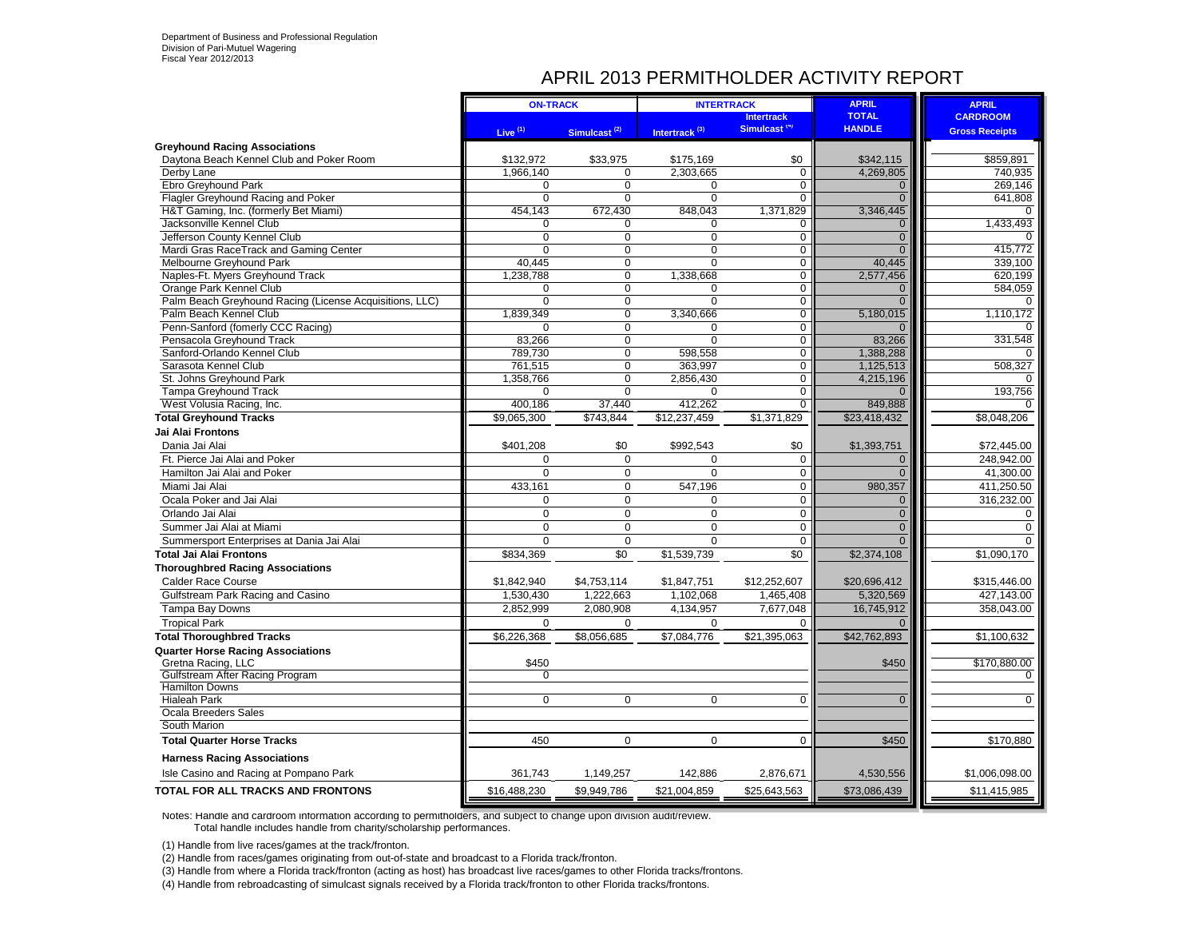### APRIL 2013 PERMITHOLDER ACTIVITY REPORT

|                                                                   | <b>ON-TRACK</b>        |                          | <b>INTERTRACK</b>         |                          | <b>APRIL</b>              | <b>APRIL</b>          |
|-------------------------------------------------------------------|------------------------|--------------------------|---------------------------|--------------------------|---------------------------|-----------------------|
|                                                                   |                        |                          |                           | <b>Intertrack</b>        | <b>TOTAL</b>              | <b>CARDROOM</b>       |
|                                                                   | Live $(1)$             | Simulcast <sup>(2)</sup> | Intertrack <sup>(3)</sup> | Simulcast <sup>(4)</sup> | <b>HANDLE</b>             | <b>Gross Receipts</b> |
| <b>Greyhound Racing Associations</b>                              |                        |                          |                           |                          |                           |                       |
| Daytona Beach Kennel Club and Poker Room                          | \$132.972              | \$33,975                 | \$175.169                 | \$0                      | \$342,115                 | \$859,891             |
| Derby Lane                                                        | 1.966.140              | $\Omega$                 | 2,303,665                 | $\overline{0}$           | 4,269,805                 | 740,935               |
| Ebro Greyhound Park                                               | 0                      | $\Omega$                 | 0                         | 0                        | $\mathbf{0}$              | 269.146               |
| Flagler Greyhound Racing and Poker                                | $\Omega$               | $\Omega$                 | $\Omega$                  | $\Omega$                 | $\overline{0}$            | 641,808<br>$\Omega$   |
| H&T Gaming, Inc. (formerly Bet Miami)<br>Jacksonville Kennel Club | 454,143<br>$\mathbf 0$ | 672,430<br>0             | 848,043<br>$\mathbf 0$    | 1,371,829<br>0           | 3,346,445<br>$\mathbf{0}$ | 1,433,493             |
| Jefferson County Kennel Club                                      | $\Omega$               | $\Omega$                 | $\Omega$                  | 0                        | $\overline{0}$            |                       |
| Mardi Gras RaceTrack and Gaming Center                            | 0                      | 0                        | $\mathbf 0$               | 0                        | $\mathbf{0}$              | 415,772               |
| Melbourne Greyhound Park                                          | 40,445                 | 0                        | $\overline{0}$            | $\overline{0}$           | 40,445                    | 339,100               |
| Naples-Ft. Myers Greyhound Track                                  | 1,238,788              | $\mathbf 0$              | 1,338,668                 | $\mathbf 0$              | 2,577,456                 | 620,199               |
| Orange Park Kennel Club                                           | 0                      | $\Omega$                 | $\mathbf 0$               | $\overline{0}$           | 0                         | 584,059               |
| Palm Beach Greyhound Racing (License Acquisitions, LLC)           | $\overline{0}$         | 0                        | $\overline{0}$            | $\overline{0}$           | $\overline{0}$            | $\Omega$              |
| Palm Beach Kennel Club                                            | 1,839,349              | 0                        | 3,340,666                 | $\overline{0}$           | 5,180,015                 | 1,110,172             |
| Penn-Sanford (fomerly CCC Racing)                                 | 0                      | $\Omega$                 | 0                         | $\mathbf 0$              | $\Omega$                  |                       |
| Pensacola Greyhound Track                                         | 83,266                 | 0                        | $\Omega$                  | $\mathbf 0$              | 83,266                    | 331,548               |
| Sanford-Orlando Kennel Club                                       | 789,730                | $\overline{0}$           | 598,558                   | $\overline{0}$           | 1,388,288                 | $\Omega$              |
| Sarasota Kennel Club                                              | 761,515                | 0                        | 363,997                   | 0                        | 1,125,513                 | 508,327               |
| St. Johns Greyhound Park                                          | 1,358,766              | 0                        | 2,856,430                 | 0                        | 4,215,196                 |                       |
| Tampa Greyhound Track                                             | $\mathbf 0$            | $\Omega$                 | $\mathbf 0$               | 0                        | $\Omega$                  | 193,756               |
| West Volusia Racing, Inc.                                         | 400,186                | 37,440                   | 412,262                   | $\overline{0}$           | 849,888                   | $\Omega$              |
| <b>Total Greyhound Tracks</b>                                     | \$9,065,300            | \$743,844                | \$12,237,459              | \$1,371,829              | \$23,418,432              | \$8,048,206           |
| Jai Alai Frontons                                                 |                        |                          |                           |                          |                           |                       |
| Dania Jai Alai                                                    | \$401,208              | \$0                      | \$992,543                 | \$0                      | \$1,393,751               | \$72,445.00           |
| Ft. Pierce Jai Alai and Poker                                     | 0                      | $\mathbf 0$              | $\mathbf 0$               | $\mathbf 0$              | $\mathbf 0$               | 248,942.00            |
| Hamilton Jai Alai and Poker                                       | 0                      | $\mathbf 0$              | $\mathbf 0$               | 0                        | $\overline{0}$            | 41,300.00             |
| Miami Jai Alai                                                    | 433,161                | 0                        | 547,196                   | 0                        | 980,357                   | 411,250.50            |
| Ocala Poker and Jai Alai                                          | $\mathbf 0$            | $\mathbf 0$              | 0                         | $\mathbf 0$              | $\mathbf 0$               | 316,232.00            |
| Orlando Jai Alai                                                  | $\mathbf 0$            | $\mathbf 0$              | $\mathbf 0$               | $\mathsf 0$              | $\overline{0}$            | 0                     |
| Summer Jai Alai at Miami                                          | $\mathbf 0$            | $\mathbf 0$              | $\mathbf 0$               | $\mathbf 0$              | $\overline{0}$            | $\Omega$              |
| Summersport Enterprises at Dania Jai Alai                         | $\Omega$               | $\Omega$                 | $\Omega$                  | $\Omega$                 | $\overline{0}$            | $\Omega$              |
| <b>Total Jai Alai Frontons</b>                                    | \$834,369              | \$0                      | \$1,539,739               | \$0                      | \$2,374,108               | \$1,090,170           |
| <b>Thoroughbred Racing Associations</b>                           |                        |                          |                           |                          |                           |                       |
| <b>Calder Race Course</b>                                         | \$1,842,940            | \$4,753,114              | \$1,847,751               | \$12,252,607             | \$20,696,412              | \$315,446.00          |
| Gulfstream Park Racing and Casino                                 | 1,530,430              | 1,222,663                | 1,102,068                 | 1,465,408                | 5,320,569                 | 427,143.00            |
| Tampa Bay Downs                                                   | 2,852,999              | 2,080,908                | 4,134,957                 | 7,677,048                | 16,745,912                | 358,043.00            |
| <b>Tropical Park</b>                                              | 0                      | 0                        | 0                         | $\Omega$                 | $\Omega$                  |                       |
| <b>Total Thoroughbred Tracks</b>                                  | \$6,226,368            | \$8,056,685              | \$7,084,776               | \$21,395,063             | \$42,762,893              | \$1,100,632           |
| <b>Quarter Horse Racing Associations</b>                          |                        |                          |                           |                          |                           |                       |
| Gretna Racing, LLC                                                | \$450                  |                          |                           |                          | \$450                     | \$170,880.00          |
| Gulfstream After Racing Program                                   | 0                      |                          |                           |                          |                           |                       |
| <b>Hamilton Downs</b>                                             |                        |                          |                           |                          |                           |                       |
| <b>Hialeah Park</b>                                               | $\mathbf 0$            | $\mathbf 0$              | $\mathbf 0$               | $\mathbf 0$              | $\mathbf{0}$              | $\mathbf 0$           |
| Ocala Breeders Sales                                              |                        |                          |                           |                          |                           |                       |
| South Marion                                                      |                        |                          |                           |                          |                           |                       |
| <b>Total Quarter Horse Tracks</b>                                 | 450                    | $\mathbf 0$              | $\mathbf 0$               | $\Omega$                 | \$450                     | \$170,880             |
| <b>Harness Racing Associations</b>                                |                        |                          |                           |                          |                           |                       |
| Isle Casino and Racing at Pompano Park                            | 361,743                | 1,149,257                | 142,886                   | 2,876,671                | 4,530,556                 | \$1,006,098.00        |
| TOTAL FOR ALL TRACKS AND FRONTONS                                 | \$16,488,230           | \$9,949,786              | \$21,004,859              | \$25,643,563             | \$73,086,439              | \$11,415,985          |

Notes: Handle and cardroom information according to permitholders, and subject to change upon division audit/review. Total handle includes handle from charity/scholarship performances.

(1) Handle from live races/games at the track/fronton.

(2) Handle from races/games originating from out-of-state and broadcast to a Florida track/fronton.

(3) Handle from where a Florida track/fronton (acting as host) has broadcast live races/games to other Florida tracks/frontons.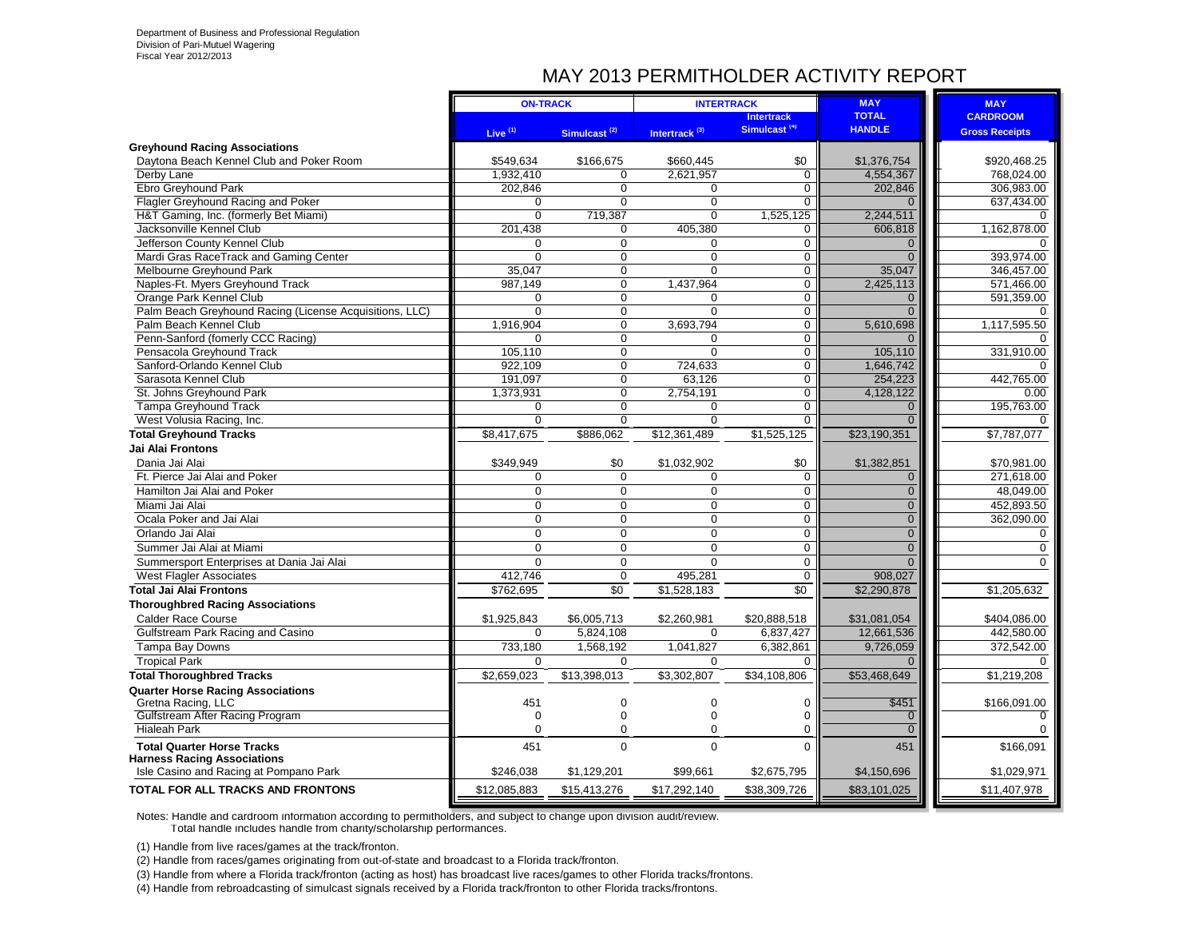### MAY 2013 PERMITHOLDER ACTIVITY REPORT

|                                                            | <b>ON-TRACK</b>       |                                  | <b>INTERTRACK</b>         |                                  | <b>MAY</b>               | <b>MAY</b>            |
|------------------------------------------------------------|-----------------------|----------------------------------|---------------------------|----------------------------------|--------------------------|-----------------------|
|                                                            |                       |                                  |                           | <b>Intertrack</b>                | <b>TOTAL</b>             | <b>CARDROOM</b>       |
|                                                            | Live $(1)$            | Simulcast <sup>(2)</sup>         | Intertrack <sup>(3)</sup> | Simulcast <sup>(4)</sup>         | <b>HANDLE</b>            | <b>Gross Receipts</b> |
| <b>Greyhound Racing Associations</b>                       |                       |                                  |                           |                                  |                          |                       |
| Daytona Beach Kennel Club and Poker Room                   | \$549.634             | \$166,675                        | \$660,445                 | \$0                              | \$1,376,754              | \$920,468.25          |
| Derby Lane                                                 | 1,932,410             | $\Omega$                         | 2,621,957                 | $\mathbf 0$                      | 4,554,367                | 768,024.00            |
| Ebro Greyhound Park                                        | 202,846               | $\overline{0}$                   | $\Omega$                  | $\overline{0}$                   | 202,846                  | 306,983.00            |
| Flagler Greyhound Racing and Poker                         | $\Omega$              | $\overline{0}$                   | $\overline{0}$            | $\overline{0}$                   | $\Omega$                 | 637,434.00            |
| H&T Gaming, Inc. (formerly Bet Miami)                      | $\Omega$              | 719,387                          | $\Omega$                  | 1,525,125                        | 2,244,511                | ∩                     |
| Jacksonville Kennel Club                                   | 201,438               | $\mathbf 0$                      | 405,380                   | $\mathbf 0$                      | 606,818                  | 1,162,878.00          |
| Jefferson County Kennel Club                               | $\Omega$              | $\Omega$                         | $\Omega$                  | $\Omega$                         | $\Omega$                 | ∩                     |
| Mardi Gras RaceTrack and Gaming Center                     | $\Omega$              | $\mathbf 0$                      | $\Omega$                  | $\mathbf 0$                      | $\Omega$                 | 393,974.00            |
| Melbourne Greyhound Park                                   | 35,047                | $\Omega$                         | $\Omega$                  | $\mathbf 0$                      | 35,047                   | 346,457.00            |
| Naples-Ft. Myers Greyhound Track                           | 987,149               | $\Omega$                         | 1,437,964                 | $\Omega$                         | 2,425,113                | 571,466.00            |
| Orange Park Kennel Club                                    | $\Omega$              | $\mathbf 0$                      | 0                         | $\mathbf 0$                      | $\overline{0}$           | 591,359.00            |
| Palm Beach Greyhound Racing (License Acquisitions, LLC)    | $\Omega$              | $\mathbf 0$                      | $\Omega$                  | $\mathbf 0$                      | $\Omega$                 |                       |
| Palm Beach Kennel Club                                     | 1,916,904             | $\overline{0}$                   | 3,693,794                 | $\mathbf 0$                      | 5,610,698                | 1,117,595.50          |
| Penn-Sanford (fomerly CCC Racing)                          | $\Omega$              | $\overline{0}$                   | $\mathbf 0$               | $\overline{0}$                   | $\Omega$                 | $\Omega$              |
| Pensacola Greyhound Track                                  | 105,110               | $\mathbf 0$                      | $\mathbf 0$               | $\mathbf 0$                      | 105,110                  | 331,910.00            |
| Sanford-Orlando Kennel Club                                | 922,109               | $\mathbf 0$                      | 724,633                   | $\mathbf 0$                      | 1,646,742                | O                     |
| Sarasota Kennel Club                                       | 191,097               | $\overline{0}$<br>$\overline{0}$ | 63,126                    | $\overline{0}$<br>$\overline{0}$ | 254,223                  | 442,765.00            |
| St. Johns Greyhound Park                                   | 1,373,931<br>$\Omega$ | $\overline{0}$                   | 2,754,191<br>$\Omega$     |                                  | 4,128,122                | 0.00                  |
| Tampa Greyhound Track                                      | $\mathbf 0$           | $\overline{0}$                   | $\overline{0}$            | $\mathbf 0$<br>$\mathbf 0$       | $\Omega$<br>$\Omega$     | 195,763.00            |
| West Volusia Racing, Inc.<br><b>Total Greyhound Tracks</b> | \$8,417,675           | \$886,062                        | \$12,361,489              | \$1,525,125                      | \$23,190,351             | \$7,787,077           |
| Jai Alai Frontons                                          |                       |                                  |                           |                                  |                          |                       |
| Dania Jai Alai                                             |                       |                                  |                           |                                  |                          |                       |
| Ft. Pierce Jai Alai and Poker                              | \$349,949<br>$\Omega$ | \$0<br>$\Omega$                  | \$1,032,902               | \$0                              | \$1,382,851              | \$70,981.00           |
|                                                            | $\Omega$              | $\Omega$                         | $\mathbf 0$<br>$\Omega$   | $\mathbf 0$                      | $\mathbf{0}$<br>$\Omega$ | 271,618.00            |
| Hamilton Jai Alai and Poker                                |                       |                                  |                           | $\mathbf 0$                      |                          | 48,049.00             |
| Miami Jai Alai                                             | $\mathbf 0$           | $\mathbf 0$                      | $\mathbf 0$               | $\mathbf 0$                      | $\mathbf{0}$             | 452,893.50            |
| Ocala Poker and Jai Alai                                   | $\Omega$              | $\Omega$                         | $\mathbf 0$               | $\mathbf 0$                      | $\overline{0}$           | 362,090.00            |
| Orlando Jai Alai                                           | $\mathbf 0$           | $\mathbf 0$                      | $\mathbf 0$               | $\mathbf 0$                      | $\overline{0}$           | 0                     |
| Summer Jai Alai at Miami                                   | $\Omega$              | $\Omega$                         | $\Omega$                  | $\mathbf 0$                      | $\overline{0}$           | $\Omega$              |
| Summersport Enterprises at Dania Jai Alai                  | $\Omega$              | $\mathbf 0$                      | $\Omega$                  | $\mathbf 0$                      | $\Omega$                 | $\Omega$              |
| <b>West Flagler Associates</b>                             | 412,746               | $\mathbf 0$                      | 495,281                   | $\mathbf 0$                      | 908,027                  |                       |
| Total Jai Alai Frontons                                    | \$762,695             | \$0                              | \$1,528,183               | \$0                              | \$2,290,878              | \$1,205,632           |
| <b>Thoroughbred Racing Associations</b>                    |                       |                                  |                           |                                  |                          |                       |
| <b>Calder Race Course</b>                                  | \$1,925,843           | \$6,005,713                      | \$2,260,981               | \$20,888,518                     | \$31,081,054             | \$404,086.00          |
| Gulfstream Park Racing and Casino                          | $\Omega$              | 5,824,108                        | $\Omega$                  | 6,837,427                        | 12.661.536               | 442.580.00            |
| Tampa Bay Downs                                            | 733,180               | 1,568,192                        | 1,041,827                 | 6,382,861                        | 9,726,059                | 372,542.00            |
| <b>Tropical Park</b>                                       | $\Omega$              | $\mathbf 0$                      | $\mathbf 0$               | $\Omega$                         | $\Omega$                 | $\Omega$              |
| <b>Total Thoroughbred Tracks</b>                           | \$2,659,023           | \$13,398,013                     | \$3,302,807               | \$34,108,806                     | \$53,468,649             | \$1,219,208           |
| <b>Quarter Horse Racing Associations</b>                   |                       |                                  |                           |                                  |                          |                       |
| Gretna Racing, LLC                                         | 451                   | $\mathbf 0$                      | $\mathbf 0$               | $\mathbf 0$                      | \$451                    | \$166,091.00          |
| Gulfstream After Racing Program                            | $\Omega$              | $\mathbf 0$                      | $\Omega$                  | $\Omega$                         | $\mathbf{0}$             |                       |
| <b>Hialeah Park</b>                                        | $\Omega$              | $\mathbf 0$                      | $\Omega$                  | $\mathbf 0$                      | $\mathbf{0}$             |                       |
| <b>Total Quarter Horse Tracks</b>                          | 451                   | $\Omega$                         | $\Omega$                  | $\Omega$                         | 451                      | \$166,091             |
| <b>Harness Racing Associations</b>                         |                       |                                  |                           |                                  |                          |                       |
| Isle Casino and Racing at Pompano Park                     | \$246,038             | \$1,129,201                      | \$99,661                  | \$2,675,795                      | \$4,150,696              | \$1,029,971           |
| <b>TOTAL FOR ALL TRACKS AND FRONTONS</b>                   | \$12,085,883          | \$15,413,276                     | \$17,292,140              | \$38,309,726                     | \$83,101,025             | \$11,407,978          |

Notes: Handle and cardroom information according to permitholders, and subject to change upon division audit/review. Total handle includes handle from charity/scholarship performances.

(1) Handle from live races/games at the track/fronton.

(2) Handle from races/games originating from out-of-state and broadcast to a Florida track/fronton.

(3) Handle from where a Florida track/fronton (acting as host) has broadcast live races/games to other Florida tracks/frontons.